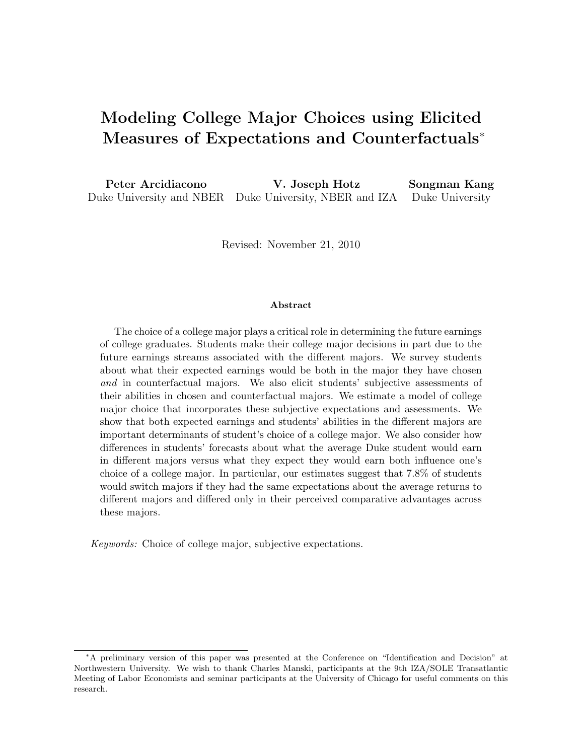# Modeling College Major Choices using Elicited Measures of Expectations and Counterfactuals<sup>∗</sup>

Peter Arcidiacono V. Joseph Hotz Songman Kang Duke University and NBER Duke University, NBER and IZA Duke University

Revised: November 21, 2010

#### Abstract

The choice of a college major plays a critical role in determining the future earnings of college graduates. Students make their college major decisions in part due to the future earnings streams associated with the different majors. We survey students about what their expected earnings would be both in the major they have chosen and in counterfactual majors. We also elicit students' subjective assessments of their abilities in chosen and counterfactual majors. We estimate a model of college major choice that incorporates these subjective expectations and assessments. We show that both expected earnings and students' abilities in the different majors are important determinants of student's choice of a college major. We also consider how differences in students' forecasts about what the average Duke student would earn in different majors versus what they expect they would earn both influence one's choice of a college major. In particular, our estimates suggest that 7.8% of students would switch majors if they had the same expectations about the average returns to different majors and differed only in their perceived comparative advantages across these majors.

Keywords: Choice of college major, subjective expectations.

<sup>∗</sup>A preliminary version of this paper was presented at the Conference on "Identification and Decision" at Northwestern University. We wish to thank Charles Manski, participants at the 9th IZA/SOLE Transatlantic Meeting of Labor Economists and seminar participants at the University of Chicago for useful comments on this research.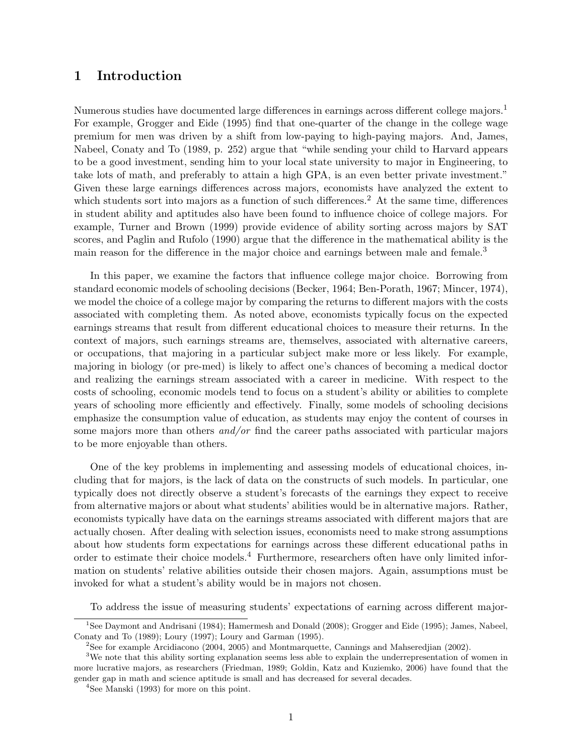## 1 Introduction

Numerous studies have documented large differences in earnings across different college majors.<sup>1</sup> For example, Grogger and Eide (1995) find that one-quarter of the change in the college wage premium for men was driven by a shift from low-paying to high-paying majors. And, James, Nabeel, Conaty and To (1989, p. 252) argue that "while sending your child to Harvard appears to be a good investment, sending him to your local state university to major in Engineering, to take lots of math, and preferably to attain a high GPA, is an even better private investment." Given these large earnings differences across majors, economists have analyzed the extent to which students sort into majors as a function of such differences.<sup>2</sup> At the same time, differences in student ability and aptitudes also have been found to influence choice of college majors. For example, Turner and Brown (1999) provide evidence of ability sorting across majors by SAT scores, and Paglin and Rufolo (1990) argue that the difference in the mathematical ability is the main reason for the difference in the major choice and earnings between male and female.<sup>3</sup>

In this paper, we examine the factors that influence college major choice. Borrowing from standard economic models of schooling decisions (Becker, 1964; Ben-Porath, 1967; Mincer, 1974), we model the choice of a college major by comparing the returns to different majors with the costs associated with completing them. As noted above, economists typically focus on the expected earnings streams that result from different educational choices to measure their returns. In the context of majors, such earnings streams are, themselves, associated with alternative careers, or occupations, that majoring in a particular subject make more or less likely. For example, majoring in biology (or pre-med) is likely to affect one's chances of becoming a medical doctor and realizing the earnings stream associated with a career in medicine. With respect to the costs of schooling, economic models tend to focus on a student's ability or abilities to complete years of schooling more efficiently and effectively. Finally, some models of schooling decisions emphasize the consumption value of education, as students may enjoy the content of courses in some majors more than others *and/or* find the career paths associated with particular majors to be more enjoyable than others.

One of the key problems in implementing and assessing models of educational choices, including that for majors, is the lack of data on the constructs of such models. In particular, one typically does not directly observe a student's forecasts of the earnings they expect to receive from alternative majors or about what students' abilities would be in alternative majors. Rather, economists typically have data on the earnings streams associated with different majors that are actually chosen. After dealing with selection issues, economists need to make strong assumptions about how students form expectations for earnings across these different educational paths in order to estimate their choice models.<sup>4</sup> Furthermore, researchers often have only limited information on students' relative abilities outside their chosen majors. Again, assumptions must be invoked for what a student's ability would be in majors not chosen.

To address the issue of measuring students' expectations of earning across different major-

<sup>&</sup>lt;sup>1</sup>See Daymont and Andrisani (1984); Hamermesh and Donald (2008); Grogger and Eide (1995); James, Nabeel, Conaty and To (1989); Loury (1997); Loury and Garman (1995).

<sup>&</sup>lt;sup>2</sup>See for example Arcidiacono (2004, 2005) and Montmarquette, Cannings and Mahseredjian (2002).

<sup>3</sup>We note that this ability sorting explanation seems less able to explain the underrepresentation of women in more lucrative majors, as researchers (Friedman, 1989; Goldin, Katz and Kuziemko, 2006) have found that the gender gap in math and science aptitude is small and has decreased for several decades.

<sup>&</sup>lt;sup>4</sup>See Manski (1993) for more on this point.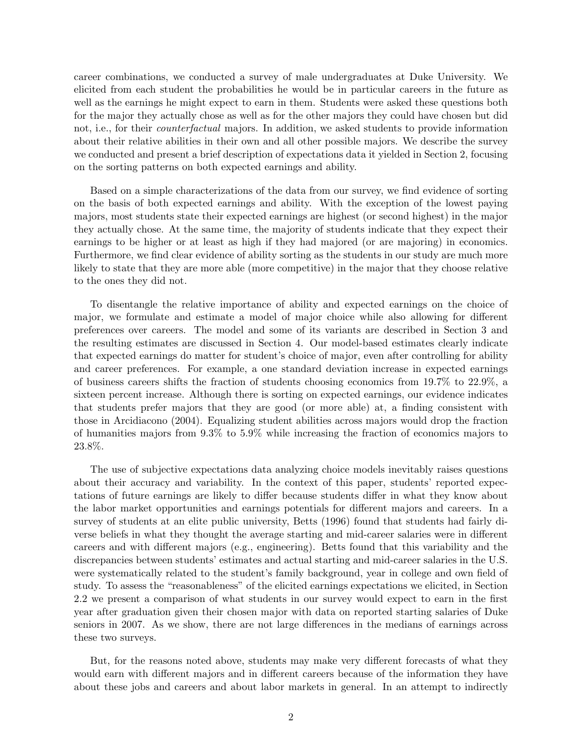career combinations, we conducted a survey of male undergraduates at Duke University. We elicited from each student the probabilities he would be in particular careers in the future as well as the earnings he might expect to earn in them. Students were asked these questions both for the major they actually chose as well as for the other majors they could have chosen but did not, i.e., for their counterfactual majors. In addition, we asked students to provide information about their relative abilities in their own and all other possible majors. We describe the survey we conducted and present a brief description of expectations data it yielded in Section 2, focusing on the sorting patterns on both expected earnings and ability.

Based on a simple characterizations of the data from our survey, we find evidence of sorting on the basis of both expected earnings and ability. With the exception of the lowest paying majors, most students state their expected earnings are highest (or second highest) in the major they actually chose. At the same time, the majority of students indicate that they expect their earnings to be higher or at least as high if they had majored (or are majoring) in economics. Furthermore, we find clear evidence of ability sorting as the students in our study are much more likely to state that they are more able (more competitive) in the major that they choose relative to the ones they did not.

To disentangle the relative importance of ability and expected earnings on the choice of major, we formulate and estimate a model of major choice while also allowing for different preferences over careers. The model and some of its variants are described in Section 3 and the resulting estimates are discussed in Section 4. Our model-based estimates clearly indicate that expected earnings do matter for student's choice of major, even after controlling for ability and career preferences. For example, a one standard deviation increase in expected earnings of business careers shifts the fraction of students choosing economics from 19.7% to 22.9%, a sixteen percent increase. Although there is sorting on expected earnings, our evidence indicates that students prefer majors that they are good (or more able) at, a finding consistent with those in Arcidiacono (2004). Equalizing student abilities across majors would drop the fraction of humanities majors from 9.3% to 5.9% while increasing the fraction of economics majors to 23.8%.

The use of subjective expectations data analyzing choice models inevitably raises questions about their accuracy and variability. In the context of this paper, students' reported expectations of future earnings are likely to differ because students differ in what they know about the labor market opportunities and earnings potentials for different majors and careers. In a survey of students at an elite public university, Betts (1996) found that students had fairly diverse beliefs in what they thought the average starting and mid-career salaries were in different careers and with different majors (e.g., engineering). Betts found that this variability and the discrepancies between students' estimates and actual starting and mid-career salaries in the U.S. were systematically related to the student's family background, year in college and own field of study. To assess the "reasonableness" of the elicited earnings expectations we elicited, in Section 2.2 we present a comparison of what students in our survey would expect to earn in the first year after graduation given their chosen major with data on reported starting salaries of Duke seniors in 2007. As we show, there are not large differences in the medians of earnings across these two surveys.

But, for the reasons noted above, students may make very different forecasts of what they would earn with different majors and in different careers because of the information they have about these jobs and careers and about labor markets in general. In an attempt to indirectly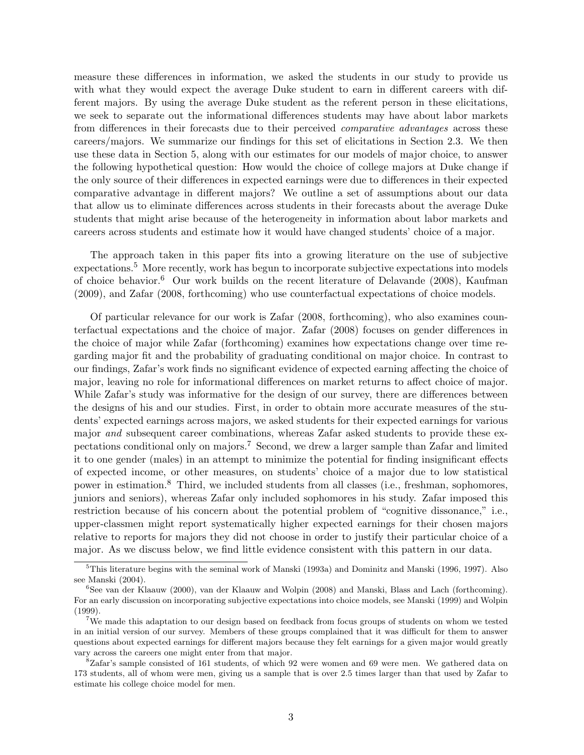measure these differences in information, we asked the students in our study to provide us with what they would expect the average Duke student to earn in different careers with different majors. By using the average Duke student as the referent person in these elicitations, we seek to separate out the informational differences students may have about labor markets from differences in their forecasts due to their perceived *comparative advantages* across these careers/majors. We summarize our findings for this set of elicitations in Section 2.3. We then use these data in Section 5, along with our estimates for our models of major choice, to answer the following hypothetical question: How would the choice of college majors at Duke change if the only source of their differences in expected earnings were due to differences in their expected comparative advantage in different majors? We outline a set of assumptions about our data that allow us to eliminate differences across students in their forecasts about the average Duke students that might arise because of the heterogeneity in information about labor markets and careers across students and estimate how it would have changed students' choice of a major.

The approach taken in this paper fits into a growing literature on the use of subjective expectations.<sup>5</sup> More recently, work has begun to incorporate subjective expectations into models of choice behavior.<sup>6</sup> Our work builds on the recent literature of Delavande (2008), Kaufman (2009), and Zafar (2008, forthcoming) who use counterfactual expectations of choice models.

Of particular relevance for our work is Zafar (2008, forthcoming), who also examines counterfactual expectations and the choice of major. Zafar (2008) focuses on gender differences in the choice of major while Zafar (forthcoming) examines how expectations change over time regarding major fit and the probability of graduating conditional on major choice. In contrast to our findings, Zafar's work finds no significant evidence of expected earning affecting the choice of major, leaving no role for informational differences on market returns to affect choice of major. While Zafar's study was informative for the design of our survey, there are differences between the designs of his and our studies. First, in order to obtain more accurate measures of the students' expected earnings across majors, we asked students for their expected earnings for various major and subsequent career combinations, whereas Zafar asked students to provide these expectations conditional only on majors.<sup>7</sup> Second, we drew a larger sample than Zafar and limited it to one gender (males) in an attempt to minimize the potential for finding insignificant effects of expected income, or other measures, on students' choice of a major due to low statistical power in estimation.<sup>8</sup> Third, we included students from all classes (i.e., freshman, sophomores, juniors and seniors), whereas Zafar only included sophomores in his study. Zafar imposed this restriction because of his concern about the potential problem of "cognitive dissonance," i.e., upper-classmen might report systematically higher expected earnings for their chosen majors relative to reports for majors they did not choose in order to justify their particular choice of a major. As we discuss below, we find little evidence consistent with this pattern in our data.

 $5$ This literature begins with the seminal work of Manski (1993a) and Dominitz and Manski (1996, 1997). Also see Manski (2004).

<sup>6</sup>See van der Klaauw (2000), van der Klaauw and Wolpin (2008) and Manski, Blass and Lach (forthcoming). For an early discussion on incorporating subjective expectations into choice models, see Manski (1999) and Wolpin (1999).

<sup>7</sup>We made this adaptation to our design based on feedback from focus groups of students on whom we tested in an initial version of our survey. Members of these groups complained that it was difficult for them to answer questions about expected earnings for different majors because they felt earnings for a given major would greatly vary across the careers one might enter from that major.

 ${}^8Za$ far's sample consisted of 161 students, of which 92 were women and 69 were men. We gathered data on 173 students, all of whom were men, giving us a sample that is over 2.5 times larger than that used by Zafar to estimate his college choice model for men.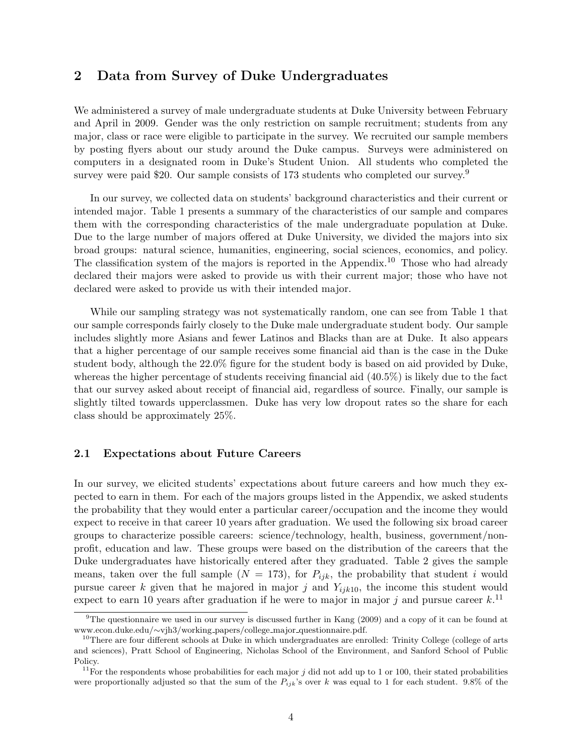## 2 Data from Survey of Duke Undergraduates

We administered a survey of male undergraduate students at Duke University between February and April in 2009. Gender was the only restriction on sample recruitment; students from any major, class or race were eligible to participate in the survey. We recruited our sample members by posting flyers about our study around the Duke campus. Surveys were administered on computers in a designated room in Duke's Student Union. All students who completed the survey were paid \$20. Our sample consists of 173 students who completed our survey.<sup>9</sup>

In our survey, we collected data on students' background characteristics and their current or intended major. Table 1 presents a summary of the characteristics of our sample and compares them with the corresponding characteristics of the male undergraduate population at Duke. Due to the large number of majors offered at Duke University, we divided the majors into six broad groups: natural science, humanities, engineering, social sciences, economics, and policy. The classification system of the majors is reported in the Appendix.<sup>10</sup> Those who had already declared their majors were asked to provide us with their current major; those who have not declared were asked to provide us with their intended major.

While our sampling strategy was not systematically random, one can see from Table 1 that our sample corresponds fairly closely to the Duke male undergraduate student body. Our sample includes slightly more Asians and fewer Latinos and Blacks than are at Duke. It also appears that a higher percentage of our sample receives some financial aid than is the case in the Duke student body, although the 22.0% figure for the student body is based on aid provided by Duke, whereas the higher percentage of students receiving financial aid (40.5%) is likely due to the fact that our survey asked about receipt of financial aid, regardless of source. Finally, our sample is slightly tilted towards upperclassmen. Duke has very low dropout rates so the share for each class should be approximately 25%.

#### 2.1 Expectations about Future Careers

In our survey, we elicited students' expectations about future careers and how much they expected to earn in them. For each of the majors groups listed in the Appendix, we asked students the probability that they would enter a particular career/occupation and the income they would expect to receive in that career 10 years after graduation. We used the following six broad career groups to characterize possible careers: science/technology, health, business, government/nonprofit, education and law. These groups were based on the distribution of the careers that the Duke undergraduates have historically entered after they graduated. Table 2 gives the sample means, taken over the full sample  $(N = 173)$ , for  $P_{ijk}$ , the probability that student i would pursue career k given that he majored in major j and  $Y_{iik10}$ , the income this student would expect to earn 10 years after graduation if he were to major in major j and pursue career  $k$ .<sup>11</sup>

<sup>9</sup>The questionnaire we used in our survey is discussed further in Kang (2009) and a copy of it can be found at www.econ.duke.edu/∼vjh3/working papers/college major questionnaire.pdf.

 $10$ There are four different schools at Duke in which undergraduates are enrolled: Trinity College (college of arts and sciences), Pratt School of Engineering, Nicholas School of the Environment, and Sanford School of Public Policy.

<sup>&</sup>lt;sup>11</sup>For the respondents whose probabilities for each major j did not add up to 1 or 100, their stated probabilities were proportionally adjusted so that the sum of the  $P_{ijk}$ 's over k was equal to 1 for each student. 9.8% of the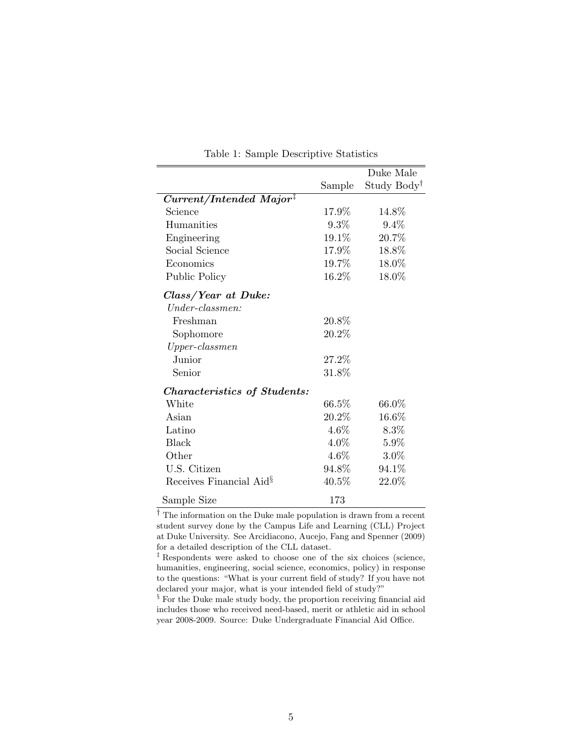|                                      |          | Duke Male               |
|--------------------------------------|----------|-------------------------|
|                                      | Sample   | Study Body <sup>†</sup> |
| $Current/Intended\ Major^{\ddagger}$ |          |                         |
| Science                              | 17.9%    | 14.8%                   |
| Humanities                           | $9.3\%$  | 9.4%                    |
| Engineering                          | 19.1%    | 20.7%                   |
| Social Science                       | 17.9%    | 18.8%                   |
| Economics                            | 19.7%    | 18.0%                   |
| Public Policy                        | 16.2%    | 18.0%                   |
| Class/Year at Duke:                  |          |                         |
| $Under-classmen:$                    |          |                         |
| Freshman                             | 20.8%    |                         |
| Sophomore                            | 20.2%    |                         |
| $Upper-classmen$                     |          |                         |
| Junior                               | 27.2%    |                         |
| Senior                               | 31.8%    |                         |
| <i>Characteristics of Students:</i>  |          |                         |
| White                                | $66.5\%$ | 66.0%                   |
| Asian                                | 20.2%    | 16.6%                   |
| Latino                               | $4.6\%$  | 8.3%                    |
| Black                                | $4.0\%$  | $5.9\%$                 |
| Other                                | $4.6\%$  | $3.0\%$                 |
| U.S. Citizen                         | 94.8%    | 94.1%                   |
| Receives Financial Aid <sup>§</sup>  | 40.5%    | 22.0%                   |
| Sample Size                          | 173      |                         |

Table 1: Sample Descriptive Statistics

† The information on the Duke male population is drawn from a recent student survey done by the Campus Life and Learning (CLL) Project at Duke University. See Arcidiacono, Aucejo, Fang and Spenner (2009) for a detailed description of the CLL dataset.

‡ Respondents were asked to choose one of the six choices (science, humanities, engineering, social science, economics, policy) in response to the questions: "What is your current field of study? If you have not declared your major, what is your intended field of study?"

§ For the Duke male study body, the proportion receiving financial aid includes those who received need-based, merit or athletic aid in school year 2008-2009. Source: Duke Undergraduate Financial Aid Office.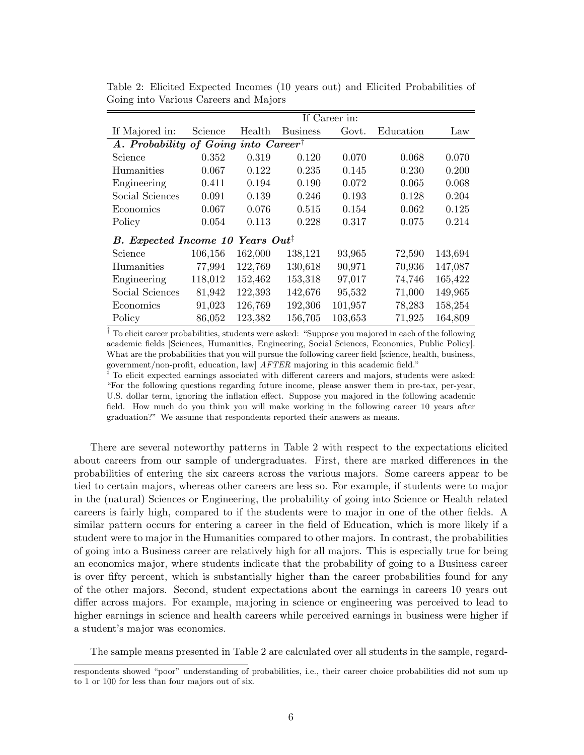|                                                  | If Career in: |         |                 |         |           |         |  |  |  |  |  |  |  |
|--------------------------------------------------|---------------|---------|-----------------|---------|-----------|---------|--|--|--|--|--|--|--|
| If Majored in:                                   | Science       | Health  | <b>Business</b> | Govt.   | Education | Law     |  |  |  |  |  |  |  |
| A. Probability of Going into Career <sup>†</sup> |               |         |                 |         |           |         |  |  |  |  |  |  |  |
| Science                                          | 0.352         | 0.319   | 0.120           | 0.070   | 0.068     | 0.070   |  |  |  |  |  |  |  |
| Humanities                                       | 0.067         | 0.122   | 0.235           | 0.145   | 0.230     | 0.200   |  |  |  |  |  |  |  |
| Engineering                                      | 0.411         | 0.194   | 0.190           | 0.072   | 0.065     | 0.068   |  |  |  |  |  |  |  |
| Social Sciences                                  | 0.091         | 0.139   | 0.246           | 0.193   | 0.128     | 0.204   |  |  |  |  |  |  |  |
| Economics                                        | 0.067         | 0.076   | 0.515           | 0.154   | 0.062     | 0.125   |  |  |  |  |  |  |  |
| Policy                                           | 0.054         | 0.113   | 0.228           | 0.317   | 0.075     | 0.214   |  |  |  |  |  |  |  |
| B. Expected Income 10 Years Out                  |               |         |                 |         |           |         |  |  |  |  |  |  |  |
| Science                                          | 106,156       | 162,000 | 138,121         | 93,965  | 72,590    | 143,694 |  |  |  |  |  |  |  |
| Humanities                                       | 77,994        | 122,769 | 130,618         | 90,971  | 70,936    | 147,087 |  |  |  |  |  |  |  |
| Engineering                                      | 118,012       | 152,462 | 153,318         | 97,017  | 74,746    | 165,422 |  |  |  |  |  |  |  |
| Social Sciences                                  | 81,942        | 122,393 | 142,676         | 95,532  | 71,000    | 149,965 |  |  |  |  |  |  |  |
| Economics                                        | 91,023        | 126,769 | 192,306         | 101,957 | 78,283    | 158,254 |  |  |  |  |  |  |  |
| Policy                                           | 86,052        | 123,382 | 156,705         | 103,653 | 71,925    | 164,809 |  |  |  |  |  |  |  |

Table 2: Elicited Expected Incomes (10 years out) and Elicited Probabilities of Going into Various Careers and Majors

<sup>†</sup> To elicit career probabilities, students were asked: "Suppose you majored in each of the following academic fields [Sciences, Humanities, Engineering, Social Sciences, Economics, Public Policy]. What are the probabilities that you will pursue the following career field [science, health, business, government/non-profit, education, law] AFTER majoring in this academic field."

 $\pm$  To elicit expected earnings associated with different careers and majors, students were asked: "For the following questions regarding future income, please answer them in pre-tax, per-year, U.S. dollar term, ignoring the inflation effect. Suppose you majored in the following academic field. How much do you think you will make working in the following career 10 years after graduation?" We assume that respondents reported their answers as means.

There are several noteworthy patterns in Table 2 with respect to the expectations elicited about careers from our sample of undergraduates. First, there are marked differences in the probabilities of entering the six careers across the various majors. Some careers appear to be tied to certain majors, whereas other careers are less so. For example, if students were to major in the (natural) Sciences or Engineering, the probability of going into Science or Health related careers is fairly high, compared to if the students were to major in one of the other fields. A similar pattern occurs for entering a career in the field of Education, which is more likely if a student were to major in the Humanities compared to other majors. In contrast, the probabilities of going into a Business career are relatively high for all majors. This is especially true for being an economics major, where students indicate that the probability of going to a Business career is over fifty percent, which is substantially higher than the career probabilities found for any of the other majors. Second, student expectations about the earnings in careers 10 years out differ across majors. For example, majoring in science or engineering was perceived to lead to higher earnings in science and health careers while perceived earnings in business were higher if a student's major was economics.

The sample means presented in Table 2 are calculated over all students in the sample, regard-

respondents showed "poor" understanding of probabilities, i.e., their career choice probabilities did not sum up to 1 or 100 for less than four majors out of six.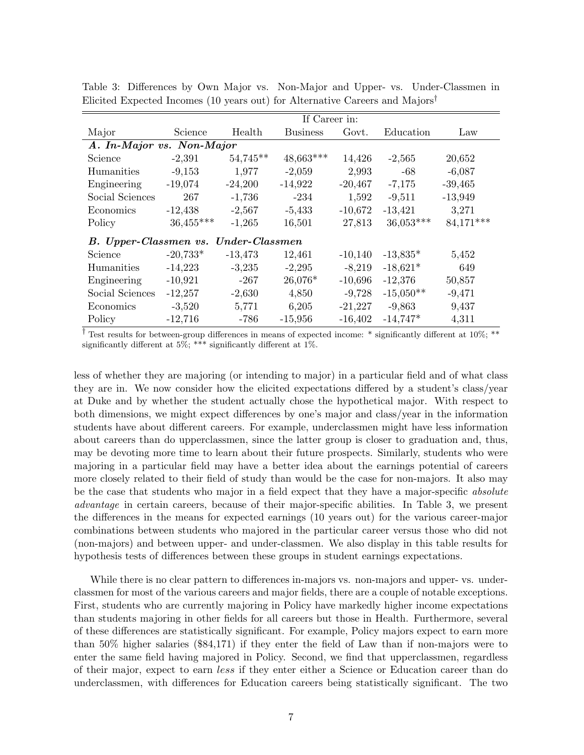|                              |             |                | If Career in:   |           |             |           |
|------------------------------|-------------|----------------|-----------------|-----------|-------------|-----------|
| Major                        | Science     | Health         | <b>Business</b> | Govt.     | Education   | Law       |
| A. In-Major vs. Non-Major    |             |                |                 |           |             |           |
| Science                      | $-2,391$    | $54,745**$     | 48,663***       | 14,426    | $-2,565$    | 20,652    |
| Humanities                   | $-9,153$    | 1,977          | $-2,059$        | 2,993     | $-68$       | $-6,087$  |
| Engineering                  | $-19,074$   | $-24,200$      | $-14,922$       | $-20,467$ | $-7,175$    | $-39,465$ |
| Social Sciences              | 267         | $-1,736$       | $-234$          | 1,592     | $-9,511$    | $-13,949$ |
| Economics                    | $-12,438$   | $-2,567$       | $-5,433$        | $-10,672$ | $-13,421$   | 3,271     |
| Policy                       | $36.455***$ | $-1,265$       | 16,501          | 27,813    | 36,053***   | 84,171*** |
| <b>B.</b> Upper-Classmen vs. |             | Under-Classmen |                 |           |             |           |
| Science                      | $-20,733*$  | $-13,473$      | 12,461          | $-10,140$ | $-13,835*$  | 5,452     |
| Humanities                   | $-14,223$   | $-3,235$       | $-2,295$        | $-8,219$  | $-18,621*$  | 649       |
| Engineering                  | $-10,921$   | $-267$         | $26,076*$       | $-10,696$ | $-12,376$   | 50,857    |
| Social Sciences              | $-12,257$   | $-2,630$       | 4,850           | $-9,728$  | $-15,050**$ | $-9,471$  |
| Economics                    | $-3,520$    | 5,771          | 6,205           | $-21,227$ | $-9,863$    | 9,437     |
| Policy                       | $-12,716$   | -786           | $-15,956$       | $-16,402$ | $-14,747*$  | 4,311     |

Table 3: Differences by Own Major vs. Non-Major and Upper- vs. Under-Classmen in Elicited Expected Incomes (10 years out) for Alternative Careers and Majors†

<sup>†</sup> Test results for between-group differences in means of expected income: \* significantly different at 10%; \*\* significantly different at 5%; \*\*\* significantly different at 1%.

less of whether they are majoring (or intending to major) in a particular field and of what class they are in. We now consider how the elicited expectations differed by a student's class/year at Duke and by whether the student actually chose the hypothetical major. With respect to both dimensions, we might expect differences by one's major and class/year in the information students have about different careers. For example, underclassmen might have less information about careers than do upperclassmen, since the latter group is closer to graduation and, thus, may be devoting more time to learn about their future prospects. Similarly, students who were majoring in a particular field may have a better idea about the earnings potential of careers more closely related to their field of study than would be the case for non-majors. It also may be the case that students who major in a field expect that they have a major-specific *absolute* advantage in certain careers, because of their major-specific abilities. In Table 3, we present the differences in the means for expected earnings (10 years out) for the various career-major combinations between students who majored in the particular career versus those who did not (non-majors) and between upper- and under-classmen. We also display in this table results for hypothesis tests of differences between these groups in student earnings expectations.

While there is no clear pattern to differences in-majors vs. non-majors and upper- vs. underclassmen for most of the various careers and major fields, there are a couple of notable exceptions. First, students who are currently majoring in Policy have markedly higher income expectations than students majoring in other fields for all careers but those in Health. Furthermore, several of these differences are statistically significant. For example, Policy majors expect to earn more than 50% higher salaries (\$84,171) if they enter the field of Law than if non-majors were to enter the same field having majored in Policy. Second, we find that upperclassmen, regardless of their major, expect to earn less if they enter either a Science or Education career than do underclassmen, with differences for Education careers being statistically significant. The two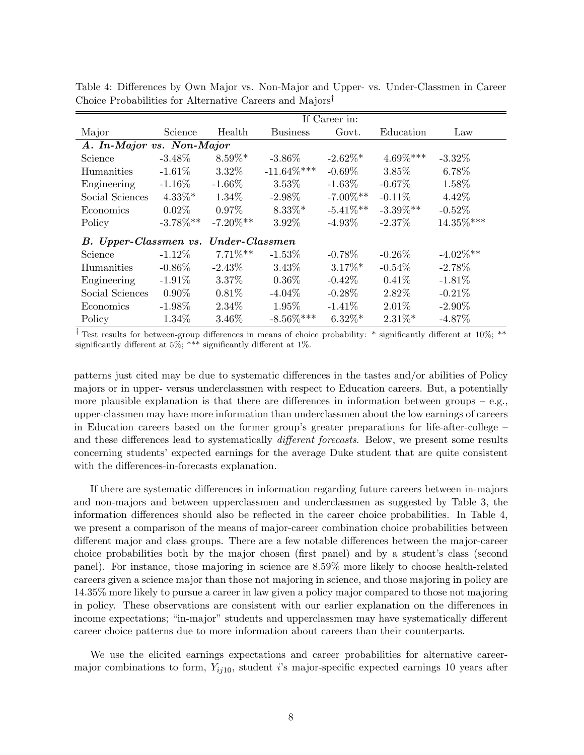|                              |             |                  |                 | If Career in: |             |              |
|------------------------------|-------------|------------------|-----------------|---------------|-------------|--------------|
| Major                        | Science     | Health           | <b>Business</b> | Govt.         | Education   | Law          |
| A. In-Major vs. Non-Major    |             |                  |                 |               |             |              |
| Science                      | $-3.48\%$   | $8.59\%*$        | $-3.86\%$       | $-2.62\%*$    | $4.69\%***$ | $-3.32\%$    |
| Humanities                   | $-1.61\%$   | 3.32\%           | $-11.64\%$ ***  | $-0.69\%$     | 3.85%       | 6.78%        |
| Engineering                  | $-1.16\%$   | $-1.66\%$        | 3.53%           | $-1.63\%$     | $-0.67\%$   | 1.58%        |
| Social Sciences              | $4.33\%*$   | 1.34\%           | $-2.98\%$       | $-7.00\%**$   | $-0.11\%$   | 4.42%        |
| Economics                    | $0.02\%$    | $0.97\%$         | $8.33\%*$       | $-5.41\%**$   | $-3.39\%**$ | $-0.52\%$    |
| Policy                       | $-3.78\%**$ | $-7.20\%**$      | 3.92%           | $-4.93\%$     | $-2.37\%$   | 14.35%***    |
| <b>B.</b> Upper-Classmen vs. |             | $Under-Classmen$ |                 |               |             |              |
| Science                      | $-1.12\%$   | $7.71\%**$       | $-1.53\%$       | $-0.78\%$     | $-0.26\%$   | $-4.02\%$ ** |
| Humanities                   | $-0.86\%$   | $-2.43\%$        | 3.43\%          | $3.17\%*$     | $-0.54\%$   | $-2.78\%$    |
| Engineering                  | $-1.91\%$   | 3.37%            | $0.36\%$        | $-0.42\%$     | $0.41\%$    | $-1.81\%$    |
| Social Sciences              | $0.90\%$    | $0.81\%$         | $-4.04\%$       | $-0.28\%$     | 2.82\%      | $-0.21\%$    |
| Economics                    | $-1.98\%$   | 2.34\%           | 1.95%           | $-1.41\%$     | $2.01\%$    | $-2.90\%$    |
| Policy                       | 1.34%       | 3.46%            | $-8.56\%$ ***   | $6.32\%*$     | $2.31\%*$   | $-4.87\%$    |

Table 4: Differences by Own Major vs. Non-Major and Upper- vs. Under-Classmen in Career Choice Probabilities for Alternative Careers and Majors†

† Test results for between-group differences in means of choice probability: \* significantly different at 10%; \*\* significantly different at 5%; \*\*\* significantly different at 1%.

patterns just cited may be due to systematic differences in the tastes and/or abilities of Policy majors or in upper- versus underclassmen with respect to Education careers. But, a potentially more plausible explanation is that there are differences in information between groups  $-e.g.,$ upper-classmen may have more information than underclassmen about the low earnings of careers in Education careers based on the former group's greater preparations for life-after-college – and these differences lead to systematically *different forecasts*. Below, we present some results concerning students' expected earnings for the average Duke student that are quite consistent with the differences-in-forecasts explanation.

If there are systematic differences in information regarding future careers between in-majors and non-majors and between upperclassmen and underclassmen as suggested by Table 3, the information differences should also be reflected in the career choice probabilities. In Table 4, we present a comparison of the means of major-career combination choice probabilities between different major and class groups. There are a few notable differences between the major-career choice probabilities both by the major chosen (first panel) and by a student's class (second panel). For instance, those majoring in science are 8.59% more likely to choose health-related careers given a science major than those not majoring in science, and those majoring in policy are 14.35% more likely to pursue a career in law given a policy major compared to those not majoring in policy. These observations are consistent with our earlier explanation on the differences in income expectations; "in-major" students and upperclassmen may have systematically different career choice patterns due to more information about careers than their counterparts.

We use the elicited earnings expectations and career probabilities for alternative careermajor combinations to form,  $Y_{i,j10}$ , student i's major-specific expected earnings 10 years after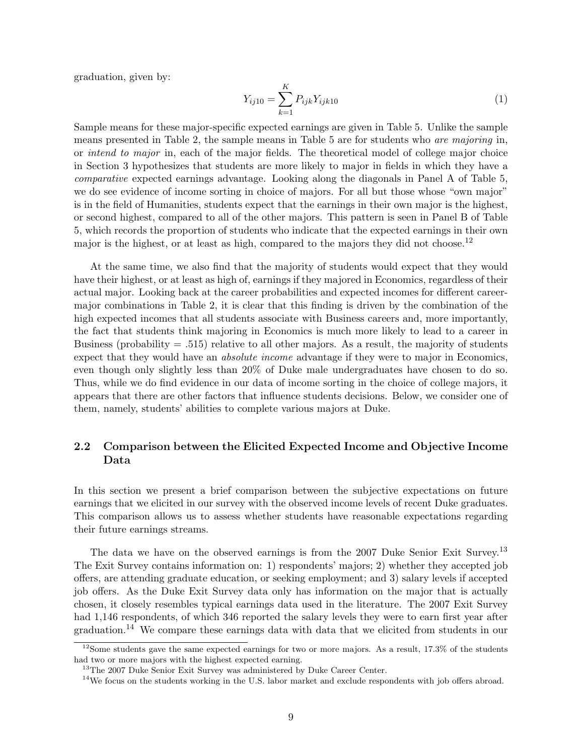graduation, given by:

$$
Y_{ij10} = \sum_{k=1}^{K} P_{ijk} Y_{ijk10}
$$
 (1)

Sample means for these major-specific expected earnings are given in Table 5. Unlike the sample means presented in Table 2, the sample means in Table 5 are for students who are majoring in, or intend to major in, each of the major fields. The theoretical model of college major choice in Section 3 hypothesizes that students are more likely to major in fields in which they have a comparative expected earnings advantage. Looking along the diagonals in Panel A of Table 5, we do see evidence of income sorting in choice of majors. For all but those whose "own major" is in the field of Humanities, students expect that the earnings in their own major is the highest, or second highest, compared to all of the other majors. This pattern is seen in Panel B of Table 5, which records the proportion of students who indicate that the expected earnings in their own major is the highest, or at least as high, compared to the majors they did not choose.<sup>12</sup>

At the same time, we also find that the majority of students would expect that they would have their highest, or at least as high of, earnings if they majored in Economics, regardless of their actual major. Looking back at the career probabilities and expected incomes for different careermajor combinations in Table 2, it is clear that this finding is driven by the combination of the high expected incomes that all students associate with Business careers and, more importantly, the fact that students think majoring in Economics is much more likely to lead to a career in Business (probability  $= .515$ ) relative to all other majors. As a result, the majority of students expect that they would have an *absolute income* advantage if they were to major in Economics, even though only slightly less than 20% of Duke male undergraduates have chosen to do so. Thus, while we do find evidence in our data of income sorting in the choice of college majors, it appears that there are other factors that influence students decisions. Below, we consider one of them, namely, students' abilities to complete various majors at Duke.

### 2.2 Comparison between the Elicited Expected Income and Objective Income Data

In this section we present a brief comparison between the subjective expectations on future earnings that we elicited in our survey with the observed income levels of recent Duke graduates. This comparison allows us to assess whether students have reasonable expectations regarding their future earnings streams.

The data we have on the observed earnings is from the 2007 Duke Senior Exit Survey.<sup>13</sup> The Exit Survey contains information on: 1) respondents' majors; 2) whether they accepted job offers, are attending graduate education, or seeking employment; and 3) salary levels if accepted job offers. As the Duke Exit Survey data only has information on the major that is actually chosen, it closely resembles typical earnings data used in the literature. The 2007 Exit Survey had 1,146 respondents, of which 346 reported the salary levels they were to earn first year after graduation.<sup>14</sup> We compare these earnings data with data that we elicited from students in our

<sup>&</sup>lt;sup>12</sup>Some students gave the same expected earnings for two or more majors. As a result,  $17.3\%$  of the students had two or more majors with the highest expected earning.

<sup>&</sup>lt;sup>13</sup>The 2007 Duke Senior Exit Survey was administered by Duke Career Center.

<sup>&</sup>lt;sup>14</sup>We focus on the students working in the U.S. labor market and exclude respondents with job offers abroad.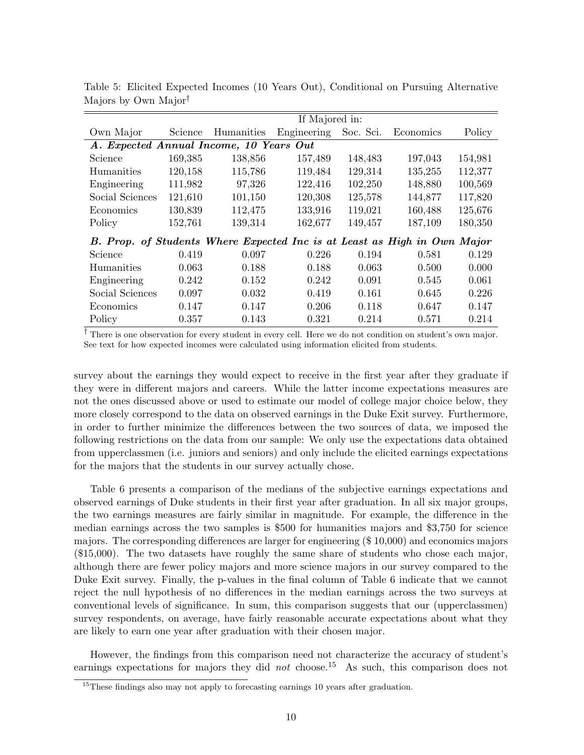|                                                                          | If Majored in: |            |             |           |           |         |  |  |  |  |  |
|--------------------------------------------------------------------------|----------------|------------|-------------|-----------|-----------|---------|--|--|--|--|--|
| Own Major                                                                | Science        | Humanities | Engineering | Soc. Sci. | Economics | Policy  |  |  |  |  |  |
| A. Expected Annual Income, 10 Years                                      |                |            | Out         |           |           |         |  |  |  |  |  |
| Science                                                                  | 169,385        | 138,856    | 157,489     | 148,483   | 197,043   | 154,981 |  |  |  |  |  |
| Humanities                                                               | 120,158        | 115,786    | 119,484     | 129,314   | 135,255   | 112,377 |  |  |  |  |  |
| Engineering                                                              | 111,982        | 97,326     | 122,416     | 102,250   | 148,880   | 100,569 |  |  |  |  |  |
| Social Sciences                                                          | 121,610        | 101,150    | 120,308     | 125,578   | 144,877   | 117,820 |  |  |  |  |  |
| Economics                                                                | 130,839        | 112,475    | 133,916     | 119,021   | 160,488   | 125,676 |  |  |  |  |  |
| Policy                                                                   | 152,761        | 139,314    | 162,677     | 149,457   | 187,109   | 180,350 |  |  |  |  |  |
| B. Prop. of Students Where Expected Inc is at Least as High in Own Major |                |            |             |           |           |         |  |  |  |  |  |
| Science                                                                  | 0.419          | 0.097      | 0.226       | 0.194     | 0.581     | 0.129   |  |  |  |  |  |
| Humanities                                                               | 0.063          | 0.188      | 0.188       | 0.063     | 0.500     | 0.000   |  |  |  |  |  |
| Engineering                                                              | 0.242          | 0.152      | 0.242       | 0.091     | 0.545     | 0.061   |  |  |  |  |  |
| Social Sciences                                                          | 0.097          | 0.032      | 0.419       | 0.161     | 0.645     | 0.226   |  |  |  |  |  |
| Economics                                                                | 0.147          | 0.147      | 0.206       | 0.118     | 0.647     | 0.147   |  |  |  |  |  |
| Policy                                                                   | 0.357          | 0.143      | 0.321       | 0.214     | 0.571     | 0.214   |  |  |  |  |  |

Table 5: Elicited Expected Incomes (10 Years Out), Conditional on Pursuing Alternative Majors by Own Major†

<sup>†</sup> There is one observation for every student in every cell. Here we do not condition on student's own major. See text for how expected incomes were calculated using information elicited from students.

survey about the earnings they would expect to receive in the first year after they graduate if they were in different majors and careers. While the latter income expectations measures are not the ones discussed above or used to estimate our model of college major choice below, they more closely correspond to the data on observed earnings in the Duke Exit survey. Furthermore, in order to further minimize the differences between the two sources of data, we imposed the following restrictions on the data from our sample: We only use the expectations data obtained from upperclassmen (i.e. juniors and seniors) and only include the elicited earnings expectations for the majors that the students in our survey actually chose.

Table 6 presents a comparison of the medians of the subjective earnings expectations and observed earnings of Duke students in their first year after graduation. In all six major groups, the two earnings measures are fairly similar in magnitude. For example, the difference in the median earnings across the two samples is \$500 for humanities majors and \$3,750 for science majors. The corresponding differences are larger for engineering (\$ 10,000) and economics majors (\$15,000). The two datasets have roughly the same share of students who chose each major, although there are fewer policy majors and more science majors in our survey compared to the Duke Exit survey. Finally, the p-values in the final column of Table 6 indicate that we cannot reject the null hypothesis of no differences in the median earnings across the two surveys at conventional levels of significance. In sum, this comparison suggests that our (upperclassmen) survey respondents, on average, have fairly reasonable accurate expectations about what they are likely to earn one year after graduation with their chosen major.

However, the findings from this comparison need not characterize the accuracy of student's earnings expectations for majors they did *not* choose.<sup>15</sup> As such, this comparison does not

<sup>&</sup>lt;sup>15</sup>These findings also may not apply to forecasting earnings 10 years after graduation.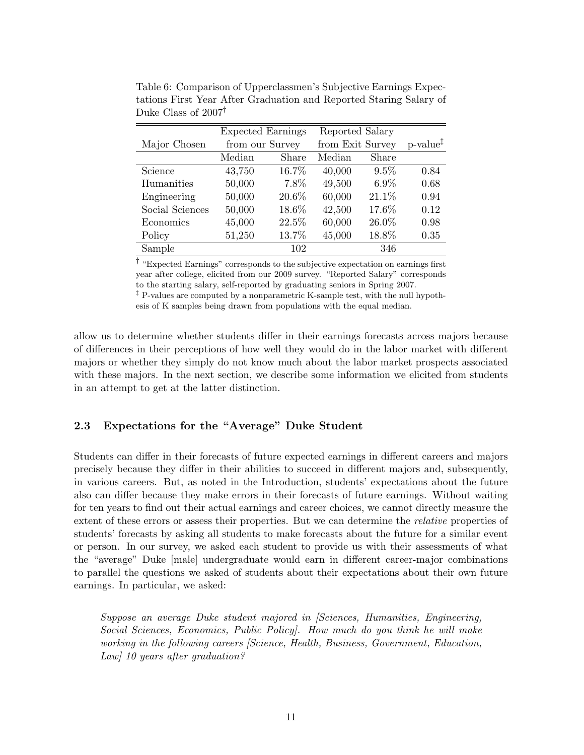|                 | <b>Expected Earnings</b> |       | Reported Salary  |          |                      |
|-----------------|--------------------------|-------|------------------|----------|----------------------|
| Major Chosen    | from our Survey          |       | from Exit Survey |          | $p-value^{\ddagger}$ |
|                 | Median                   | Share | Median           | Share    |                      |
| Science         | 43,750                   | 16.7% | 40,000           | 9.5%     | 0.84                 |
| Humanities      | 50,000                   | 7.8%  | 49,500           | $6.9\%$  | 0.68                 |
| Engineering     | 50,000                   | 20.6% | 60,000           | $21.1\%$ | 0.94                 |
| Social Sciences | 50,000                   | 18.6% | 42,500           | 17.6%    | 0.12                 |
| Economics       | 45,000                   | 22.5% | 60,000           | 26.0%    | 0.98                 |
| Policy          | 51,250                   | 13.7% | 45,000           | 18.8%    | 0.35                 |
| Sample          |                          | 102   |                  | 346      |                      |

Table 6: Comparison of Upperclassmen's Subjective Earnings Expectations First Year After Graduation and Reported Staring Salary of Duke Class of 2007†

† "Expected Earnings" corresponds to the subjective expectation on earnings first year after college, elicited from our 2009 survey. "Reported Salary" corresponds to the starting salary, self-reported by graduating seniors in Spring 2007.

‡ P-values are computed by a nonparametric K-sample test, with the null hypothesis of K samples being drawn from populations with the equal median.

allow us to determine whether students differ in their earnings forecasts across majors because of differences in their perceptions of how well they would do in the labor market with different majors or whether they simply do not know much about the labor market prospects associated with these majors. In the next section, we describe some information we elicited from students in an attempt to get at the latter distinction.

### 2.3 Expectations for the "Average" Duke Student

Students can differ in their forecasts of future expected earnings in different careers and majors precisely because they differ in their abilities to succeed in different majors and, subsequently, in various careers. But, as noted in the Introduction, students' expectations about the future also can differ because they make errors in their forecasts of future earnings. Without waiting for ten years to find out their actual earnings and career choices, we cannot directly measure the extent of these errors or assess their properties. But we can determine the *relative* properties of students' forecasts by asking all students to make forecasts about the future for a similar event or person. In our survey, we asked each student to provide us with their assessments of what the "average" Duke [male] undergraduate would earn in different career-major combinations to parallel the questions we asked of students about their expectations about their own future earnings. In particular, we asked:

Suppose an average Duke student majored in [Sciences, Humanities, Engineering, Social Sciences, Economics, Public Policy]. How much do you think he will make working in the following careers [Science, Health, Business, Government, Education, Law] 10 years after graduation?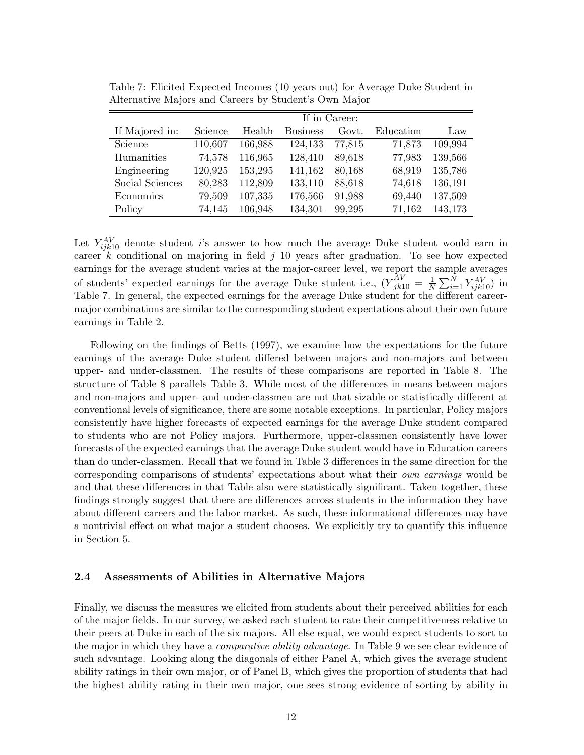|                 | If in Career: |         |                 |        |           |         |  |  |  |  |  |  |
|-----------------|---------------|---------|-----------------|--------|-----------|---------|--|--|--|--|--|--|
| If Majored in:  | Science       | Health  | <b>Business</b> | Govt.  | Education | Law     |  |  |  |  |  |  |
| Science         | 110,607       | 166,988 | 124,133         | 77,815 | 71,873    | 109,994 |  |  |  |  |  |  |
| Humanities      | 74,578        | 116,965 | 128,410         | 89,618 | 77,983    | 139,566 |  |  |  |  |  |  |
| Engineering     | 120,925       | 153,295 | 141,162         | 80,168 | 68,919    | 135,786 |  |  |  |  |  |  |
| Social Sciences | 80,283        | 112,809 | 133,110         | 88,618 | 74,618    | 136,191 |  |  |  |  |  |  |
| Economics       | 79,509        | 107,335 | 176,566         | 91,988 | 69,440    | 137,509 |  |  |  |  |  |  |
| Policy          | 74,145        | 106,948 | 134,301         | 99,295 | 71,162    | 143,173 |  |  |  |  |  |  |

Table 7: Elicited Expected Incomes (10 years out) for Average Duke Student in Alternative Majors and Careers by Student's Own Major

Let  $Y_{ijkl0}^{AV}$  denote student is answer to how much the average Duke student would earn in career k conditional on majoring in field j 10 years after graduation. To see how expected earnings for the average student varies at the major-career level, we report the sample averages of students' expected earnings for the average Duke student i.e.,  $(\overline{Y}_{jk10}^{AV} = \frac{1}{N})$  $\frac{1}{N} \sum_{i=1}^{N} Y_{ijk10}^{AV}$ ) in Table 7. In general, the expected earnings for the average Duke student for the different careermajor combinations are similar to the corresponding student expectations about their own future earnings in Table 2.

Following on the findings of Betts (1997), we examine how the expectations for the future earnings of the average Duke student differed between majors and non-majors and between upper- and under-classmen. The results of these comparisons are reported in Table 8. The structure of Table 8 parallels Table 3. While most of the differences in means between majors and non-majors and upper- and under-classmen are not that sizable or statistically different at conventional levels of significance, there are some notable exceptions. In particular, Policy majors consistently have higher forecasts of expected earnings for the average Duke student compared to students who are not Policy majors. Furthermore, upper-classmen consistently have lower forecasts of the expected earnings that the average Duke student would have in Education careers than do under-classmen. Recall that we found in Table 3 differences in the same direction for the corresponding comparisons of students' expectations about what their own earnings would be and that these differences in that Table also were statistically significant. Taken together, these findings strongly suggest that there are differences across students in the information they have about different careers and the labor market. As such, these informational differences may have a nontrivial effect on what major a student chooses. We explicitly try to quantify this influence in Section 5.

#### 2.4 Assessments of Abilities in Alternative Majors

Finally, we discuss the measures we elicited from students about their perceived abilities for each of the major fields. In our survey, we asked each student to rate their competitiveness relative to their peers at Duke in each of the six majors. All else equal, we would expect students to sort to the major in which they have a *comparative ability advantage*. In Table 9 we see clear evidence of such advantage. Looking along the diagonals of either Panel A, which gives the average student ability ratings in their own major, or of Panel B, which gives the proportion of students that had the highest ability rating in their own major, one sees strong evidence of sorting by ability in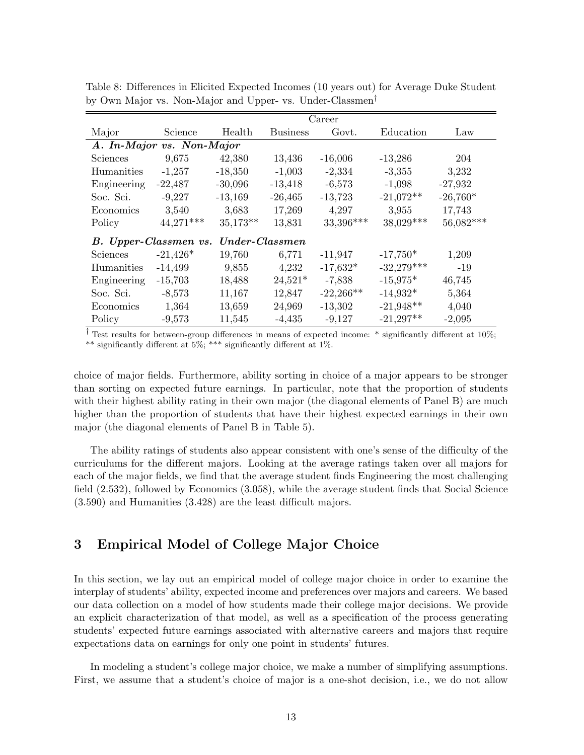| Major                                                                                                                                                                                                                                                                                                                                                                                                                                                                                                                                                                                                                                                                                                                                                                                                                                                                                                                                                                                                                       | Science  | Health | <b>Business</b> | Govt.    | Education   | Law       |
|-----------------------------------------------------------------------------------------------------------------------------------------------------------------------------------------------------------------------------------------------------------------------------------------------------------------------------------------------------------------------------------------------------------------------------------------------------------------------------------------------------------------------------------------------------------------------------------------------------------------------------------------------------------------------------------------------------------------------------------------------------------------------------------------------------------------------------------------------------------------------------------------------------------------------------------------------------------------------------------------------------------------------------|----------|--------|-----------------|----------|-------------|-----------|
| Career<br>A. In-Major vs. Non-Major<br>Sciences<br>9,675<br>42,380<br>204<br>13,436<br>$-16,006$<br>$-13,286$<br>$-1,257$<br>$-18,350$<br>$-2,334$<br>3,232<br>Humanities<br>$-1,003$<br>$-3,355$<br>$-6,573$<br>$-30,096$<br>$-27,932$<br>$-22,487$<br>$-13,418$<br>$-1,098$<br>Engineering<br>$-21,072**$<br>$-26,760*$<br>Soc. Sci.<br>$-26,465$<br>$-13,723$<br>$-9,227$<br>$-13,169$<br>17,743<br>17,269<br>3,683<br>4,297<br>3,955<br>Economics<br>3,540<br>38,029***<br>$44,271***$<br>$35,173**$<br>33,396***<br>13,831<br>Policy<br>$Under-Classmen$<br><b>B.</b> Upper-Classmen vs.<br>$-21,426*$<br>$-17,750*$<br>$-11,947$<br>1,209<br>Sciences<br>19,760<br>6,771<br>$-32,279***$<br>$-17,632*$<br>$-14,499$<br>4,232<br>Humanities<br>9,855<br>$-19$<br>$24,521*$<br>$-15,975*$<br>18,488<br>46,745<br>Engineering<br>$-15,703$<br>$-7,838$<br>$-22,266**$<br>$-14.932*$<br>Soc. Sci.<br>11,167<br>12,847<br>5,364<br>$-8,573$<br>$-21,948**$<br>4,040<br>24,969<br>$-13,302$<br>1,364<br>13,659<br>Economics |          |        |                 |          |             |           |
|                                                                                                                                                                                                                                                                                                                                                                                                                                                                                                                                                                                                                                                                                                                                                                                                                                                                                                                                                                                                                             |          |        |                 |          |             |           |
|                                                                                                                                                                                                                                                                                                                                                                                                                                                                                                                                                                                                                                                                                                                                                                                                                                                                                                                                                                                                                             |          |        |                 |          |             |           |
|                                                                                                                                                                                                                                                                                                                                                                                                                                                                                                                                                                                                                                                                                                                                                                                                                                                                                                                                                                                                                             |          |        |                 |          |             |           |
|                                                                                                                                                                                                                                                                                                                                                                                                                                                                                                                                                                                                                                                                                                                                                                                                                                                                                                                                                                                                                             |          |        |                 |          |             |           |
|                                                                                                                                                                                                                                                                                                                                                                                                                                                                                                                                                                                                                                                                                                                                                                                                                                                                                                                                                                                                                             |          |        |                 |          |             |           |
|                                                                                                                                                                                                                                                                                                                                                                                                                                                                                                                                                                                                                                                                                                                                                                                                                                                                                                                                                                                                                             |          |        |                 |          |             | 56,082*** |
|                                                                                                                                                                                                                                                                                                                                                                                                                                                                                                                                                                                                                                                                                                                                                                                                                                                                                                                                                                                                                             |          |        |                 |          |             |           |
|                                                                                                                                                                                                                                                                                                                                                                                                                                                                                                                                                                                                                                                                                                                                                                                                                                                                                                                                                                                                                             |          |        |                 |          |             |           |
|                                                                                                                                                                                                                                                                                                                                                                                                                                                                                                                                                                                                                                                                                                                                                                                                                                                                                                                                                                                                                             |          |        |                 |          |             |           |
|                                                                                                                                                                                                                                                                                                                                                                                                                                                                                                                                                                                                                                                                                                                                                                                                                                                                                                                                                                                                                             |          |        |                 |          |             |           |
|                                                                                                                                                                                                                                                                                                                                                                                                                                                                                                                                                                                                                                                                                                                                                                                                                                                                                                                                                                                                                             |          |        |                 |          |             |           |
|                                                                                                                                                                                                                                                                                                                                                                                                                                                                                                                                                                                                                                                                                                                                                                                                                                                                                                                                                                                                                             |          |        |                 |          |             |           |
| Policy                                                                                                                                                                                                                                                                                                                                                                                                                                                                                                                                                                                                                                                                                                                                                                                                                                                                                                                                                                                                                      | $-9,573$ | 11,545 | $-4,435$        | $-9,127$ | $-21,297**$ | $-2,095$  |

Table 8: Differences in Elicited Expected Incomes (10 years out) for Average Duke Student by Own Major vs. Non-Major and Upper- vs. Under-Classmen†

<sup> $\dagger$ </sup> Test results for between-group differences in means of expected income: \* significantly different at 10%; \*\* significantly different at 5%; \*\*\* significantly different at 1%.

choice of major fields. Furthermore, ability sorting in choice of a major appears to be stronger than sorting on expected future earnings. In particular, note that the proportion of students with their highest ability rating in their own major (the diagonal elements of Panel B) are much higher than the proportion of students that have their highest expected earnings in their own major (the diagonal elements of Panel B in Table 5).

The ability ratings of students also appear consistent with one's sense of the difficulty of the curriculums for the different majors. Looking at the average ratings taken over all majors for each of the major fields, we find that the average student finds Engineering the most challenging field (2.532), followed by Economics (3.058), while the average student finds that Social Science (3.590) and Humanities (3.428) are the least difficult majors.

## 3 Empirical Model of College Major Choice

In this section, we lay out an empirical model of college major choice in order to examine the interplay of students' ability, expected income and preferences over majors and careers. We based our data collection on a model of how students made their college major decisions. We provide an explicit characterization of that model, as well as a specification of the process generating students' expected future earnings associated with alternative careers and majors that require expectations data on earnings for only one point in students' futures.

In modeling a student's college major choice, we make a number of simplifying assumptions. First, we assume that a student's choice of major is a one-shot decision, i.e., we do not allow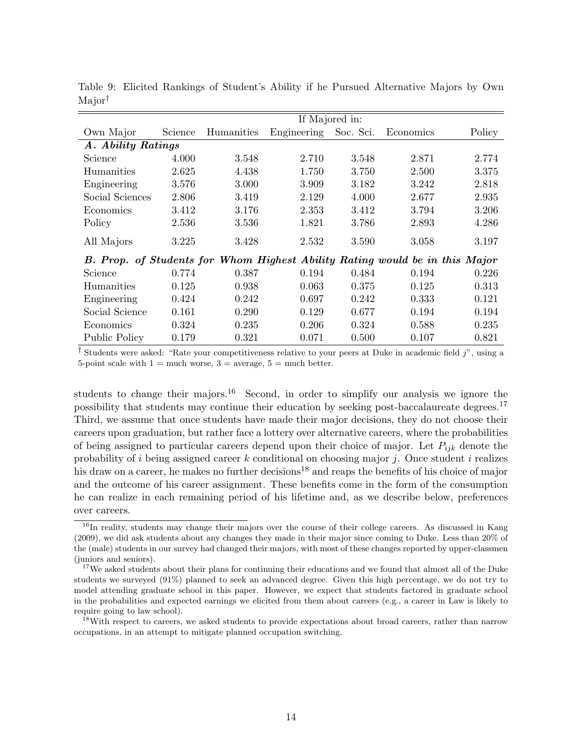|                    |         | If Majored in: |             |           |                                                                             |        |  |  |  |  |  |  |  |
|--------------------|---------|----------------|-------------|-----------|-----------------------------------------------------------------------------|--------|--|--|--|--|--|--|--|
| Own Major          | Science | Humanities     | Engineering | Soc. Sci. | Economics                                                                   | Policy |  |  |  |  |  |  |  |
| A. Ability Ratings |         |                |             |           |                                                                             |        |  |  |  |  |  |  |  |
| Science            | 4.000   | 3.548          | 2.710       | 3.548     | 2.871                                                                       | 2.774  |  |  |  |  |  |  |  |
| Humanities         | 2.625   | 4.438          | 1.750       | 3.750     | 2.500                                                                       | 3.375  |  |  |  |  |  |  |  |
| Engineering        | 3.576   | 3.000          | 3.909       | 3.182     | 3.242                                                                       | 2.818  |  |  |  |  |  |  |  |
| Social Sciences    | 2.806   | 3.419          | 2.129       | 4.000     | 2.677                                                                       | 2.935  |  |  |  |  |  |  |  |
| Economics          | 3.412   | 3.176          | 2.353       | 3.412     | 3.794                                                                       | 3.206  |  |  |  |  |  |  |  |
| Policy             | 2.536   | 3.536          | 1.821       | 3.786     | 2.893                                                                       | 4.286  |  |  |  |  |  |  |  |
| All Majors         | 3.225   | 3.428          | 2.532       | 3.590     | 3.058                                                                       | 3.197  |  |  |  |  |  |  |  |
|                    |         |                |             |           | B. Prop. of Students for Whom Highest Ability Rating would be in this Major |        |  |  |  |  |  |  |  |
| Science            | 0.774   | 0.387          | 0.194       | 0.484     | 0.194                                                                       | 0.226  |  |  |  |  |  |  |  |
| Humanities         | 0.125   | 0.938          | 0.063       | 0.375     | 0.125                                                                       | 0.313  |  |  |  |  |  |  |  |
| Engineering        | 0.424   | 0.242          | 0.697       | 0.242     | 0.333                                                                       | 0.121  |  |  |  |  |  |  |  |
| Social Science     | 0.161   | 0.290          | 0.129       | 0.677     | 0.194                                                                       | 0.194  |  |  |  |  |  |  |  |
| Economics          | 0.324   | 0.235          | 0.206       | 0.324     | 0.588                                                                       | 0.235  |  |  |  |  |  |  |  |
| Public Policy      | 0.179   | 0.321          | 0.071       | 0.500     | 0.107                                                                       | 0.821  |  |  |  |  |  |  |  |

Table 9: Elicited Rankings of Student's Ability if he Pursued Alternative Majors by Own Major†

<sup>†</sup> Students were asked: "Rate your competitiveness relative to your peers at Duke in academic field j", using a 5-point scale with  $1 =$  much worse,  $3 =$  average,  $5 =$  much better.

students to change their majors.<sup>16</sup> Second, in order to simplify our analysis we ignore the possibility that students may continue their education by seeking post-baccalaureate degrees.<sup>17</sup> Third, we assume that once students have made their major decisions, they do not choose their careers upon graduation, but rather face a lottery over alternative careers, where the probabilities of being assigned to particular careers depend upon their choice of major. Let  $P_{ijk}$  denote the probability of i being assigned career k conditional on choosing major j. Once student i realizes his draw on a career, he makes no further decisions<sup>18</sup> and reaps the benefits of his choice of major and the outcome of his career assignment. These benefits come in the form of the consumption he can realize in each remaining period of his lifetime and, as we describe below, preferences over careers.

<sup>&</sup>lt;sup>16</sup>In reality, students may change their majors over the course of their college careers. As discussed in Kang (2009), we did ask students about any changes they made in their major since coming to Duke. Less than 20% of the (male) students in our survey had changed their majors, with most of these changes reported by upper-classmen (juniors and seniors).

<sup>&</sup>lt;sup>17</sup>We asked students about their plans for continuing their educations and we found that almost all of the Duke students we surveyed (91%) planned to seek an advanced degree. Given this high percentage, we do not try to model attending graduate school in this paper. However, we expect that students factored in graduate school in the probabilities and expected earnings we elicited from them about careers (e.g., a career in Law is likely to require going to law school).

<sup>&</sup>lt;sup>18</sup>With respect to careers, we asked students to provide expectations about broad careers, rather than narrow occupations, in an attempt to mitigate planned occupation switching.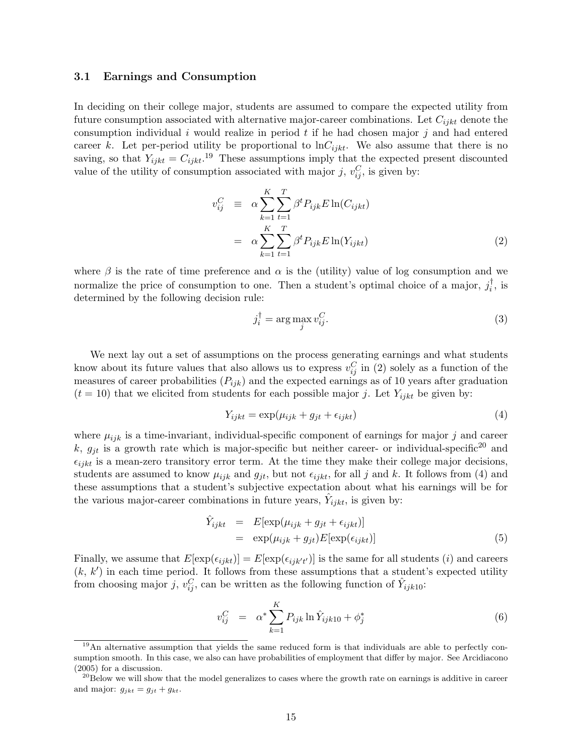#### 3.1 Earnings and Consumption

In deciding on their college major, students are assumed to compare the expected utility from future consumption associated with alternative major-career combinations. Let  $C_{i j k t}$  denote the consumption individual  $i$  would realize in period  $t$  if he had chosen major  $j$  and had entered career k. Let per-period utility be proportional to  $\ln C_{i j k t}$ . We also assume that there is no saving, so that  $Y_{ijkt} = C_{ijkt}$ .<sup>19</sup> These assumptions imply that the expected present discounted value of the utility of consumption associated with major j,  $v_{ij}^C$ , is given by:

$$
v_{ij}^C \equiv \alpha \sum_{k=1}^K \sum_{t=1}^T \beta^t P_{ijk} E \ln(C_{ijkt})
$$
  

$$
= \alpha \sum_{k=1}^K \sum_{t=1}^T \beta^t P_{ijk} E \ln(Y_{ijkt})
$$
 (2)

where  $\beta$  is the rate of time preference and  $\alpha$  is the (utility) value of log consumption and we normalize the price of consumption to one. Then a student's optimal choice of a major,  $j_i^{\dagger}$  $\frac{1}{i}$ , is determined by the following decision rule:

$$
j_i^{\dagger} = \arg\max_j v_{ij}^C.
$$
 (3)

We next lay out a set of assumptions on the process generating earnings and what students know about its future values that also allows us to express  $v_{ij}^C$  in (2) solely as a function of the measures of career probabilities  $(P_{ijk})$  and the expected earnings as of 10 years after graduation  $(t = 10)$  that we elicited from students for each possible major j. Let  $Y_{i/kt}$  be given by:

$$
Y_{ijkt} = \exp(\mu_{ijk} + g_{jt} + \epsilon_{ijkt})
$$
\n(4)

where  $\mu_{ijk}$  is a time-invariant, individual-specific component of earnings for major j and career k,  $g_{jt}$  is a growth rate which is major-specific but neither career- or individual-specific<sup>20</sup> and  $\epsilon_{i j k t}$  is a mean-zero transitory error term. At the time they make their college major decisions, students are assumed to know  $\mu_{ijk}$  and  $g_{jt}$ , but not  $\epsilon_{i j k t}$ , for all j and k. It follows from (4) and these assumptions that a student's subjective expectation about what his earnings will be for the various major-career combinations in future years,  $\hat{Y}_{ijkt}$ , is given by:

$$
\hat{Y}_{ijkt} = E[\exp(\mu_{ijk} + g_{jt} + \epsilon_{ijkt})]
$$
\n
$$
= \exp(\mu_{ijk} + g_{jt})E[\exp(\epsilon_{ijkt})]
$$
\n(5)

Finally, we assume that  $E[\exp(\epsilon_{ijkt})] = E[\exp(\epsilon_{ijk't'})]$  is the same for all students (*i*) and careers  $(k, k')$  in each time period. It follows from these assumptions that a student's expected utility from choosing major j,  $v_{ij}^C$ , can be written as the following function of  $\hat{Y}_{ijkl0}$ :

$$
v_{ij}^C = \alpha^* \sum_{k=1}^K P_{ijk} \ln \hat{Y}_{ijk10} + \phi_j^* \tag{6}
$$

 $19$ An alternative assumption that yields the same reduced form is that individuals are able to perfectly consumption smooth. In this case, we also can have probabilities of employment that differ by major. See Arcidiacono (2005) for a discussion.

 $^{20}$ Below we will show that the model generalizes to cases where the growth rate on earnings is additive in career and major:  $g_{jkt} = g_{jt} + g_{kt}$ .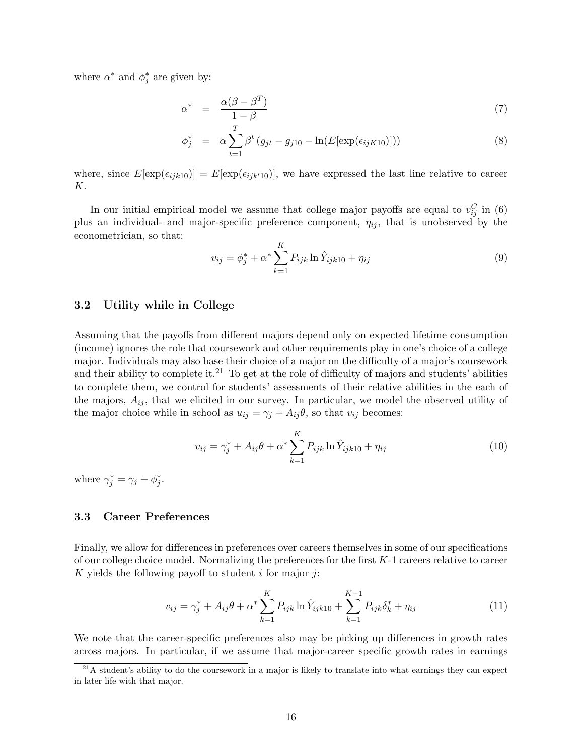where  $\alpha^*$  and  $\phi_j^*$  are given by:

$$
\alpha^* = \frac{\alpha(\beta - \beta^T)}{1 - \beta} \tag{7}
$$

$$
\phi_j^* = \alpha \sum_{t=1}^T \beta^t (g_{jt} - g_{j10} - \ln(E[\exp(\epsilon_{ijK10})])) \tag{8}
$$

where, since  $E[\exp(\epsilon_{ijk10})] = E[\exp(\epsilon_{ijk'10})]$ , we have expressed the last line relative to career K.

In our initial empirical model we assume that college major payoffs are equal to  $v_{ij}^C$  in (6) plus an individual- and major-specific preference component,  $\eta_{ij}$ , that is unobserved by the econometrician, so that:

$$
v_{ij} = \phi_j^* + \alpha^* \sum_{k=1}^{K} P_{ijk} \ln \hat{Y}_{ijk10} + \eta_{ij}
$$
 (9)

#### 3.2 Utility while in College

Assuming that the payoffs from different majors depend only on expected lifetime consumption (income) ignores the role that coursework and other requirements play in one's choice of a college major. Individuals may also base their choice of a major on the difficulty of a major's coursework and their ability to complete it.<sup>21</sup> To get at the role of difficulty of majors and students' abilities to complete them, we control for students' assessments of their relative abilities in the each of the majors,  $A_{ij}$ , that we elicited in our survey. In particular, we model the observed utility of the major choice while in school as  $u_{ij} = \gamma_j + A_{ij}\theta$ , so that  $v_{ij}$  becomes:

$$
v_{ij} = \gamma_j^* + A_{ij}\theta + \alpha^* \sum_{k=1}^{K} P_{ijk} \ln \hat{Y}_{ijk10} + \eta_{ij}
$$
 (10)

where  $\gamma_j^* = \gamma_j + \phi_j^*$ .

#### 3.3 Career Preferences

Finally, we allow for differences in preferences over careers themselves in some of our specifications of our college choice model. Normalizing the preferences for the first  $K-1$  careers relative to career K yields the following payoff to student i for major  $i$ :

$$
v_{ij} = \gamma_j^* + A_{ij}\theta + \alpha^* \sum_{k=1}^K P_{ijk} \ln \hat{Y}_{ijk10} + \sum_{k=1}^{K-1} P_{ijk}\delta_k^* + \eta_{ij}
$$
(11)

We note that the career-specific preferences also may be picking up differences in growth rates across majors. In particular, if we assume that major-career specific growth rates in earnings

 $21A$  student's ability to do the coursework in a major is likely to translate into what earnings they can expect in later life with that major.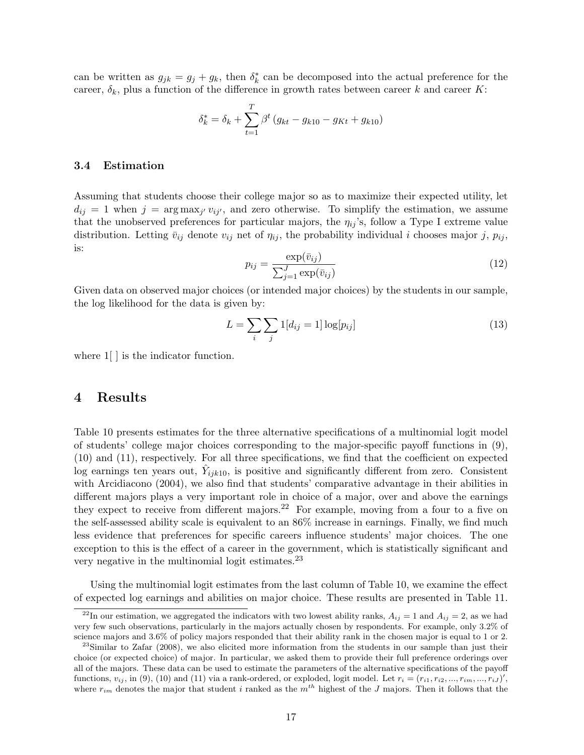can be written as  $g_{jk} = g_j + g_k$ , then  $\delta^*_k$  can be decomposed into the actual preference for the career,  $\delta_k$ , plus a function of the difference in growth rates between career k and career K:

$$
\delta_k^* = \delta_k + \sum_{t=1}^T \beta^t (g_{kt} - g_{k10} - g_{Kt} + g_{k10})
$$

#### 3.4 Estimation

Assuming that students choose their college major so as to maximize their expected utility, let  $d_{ij} = 1$  when  $j = \arg \max_{j'} v_{ij'}$ , and zero otherwise. To simplify the estimation, we assume that the unobserved preferences for particular majors, the  $\eta_{ij}$ 's, follow a Type I extreme value distribution. Letting  $\bar{v}_{ij}$  denote  $v_{ij}$  net of  $\eta_{ij}$ , the probability individual i chooses major j,  $p_{ij}$ , is:

$$
p_{ij} = \frac{\exp(\bar{v}_{ij})}{\sum_{j=1}^{J} \exp(\bar{v}_{ij})}
$$
(12)

Given data on observed major choices (or intended major choices) by the students in our sample, the log likelihood for the data is given by:

$$
L = \sum_{i} \sum_{j} 1[d_{ij} = 1] \log[p_{ij}]
$$
\n(13)

where  $1$ [] is the indicator function.

#### 4 Results

Table 10 presents estimates for the three alternative specifications of a multinomial logit model of students' college major choices corresponding to the major-specific payoff functions in (9), (10) and (11), respectively. For all three specifications, we find that the coefficient on expected log earnings ten years out,  $\hat{Y}_{ijk10}$ , is positive and significantly different from zero. Consistent with Arcidiacono (2004), we also find that students' comparative advantage in their abilities in different majors plays a very important role in choice of a major, over and above the earnings they expect to receive from different majors.<sup>22</sup> For example, moving from a four to a five on the self-assessed ability scale is equivalent to an 86% increase in earnings. Finally, we find much less evidence that preferences for specific careers influence students' major choices. The one exception to this is the effect of a career in the government, which is statistically significant and very negative in the multinomial logit estimates. $^{23}$ 

Using the multinomial logit estimates from the last column of Table 10, we examine the effect of expected log earnings and abilities on major choice. These results are presented in Table 11.

<sup>&</sup>lt;sup>22</sup>In our estimation, we aggregated the indicators with two lowest ability ranks,  $A_{ij} = 1$  and  $A_{ij} = 2$ , as we had very few such observations, particularly in the majors actually chosen by respondents. For example, only 3.2% of science majors and 3.6% of policy majors responded that their ability rank in the chosen major is equal to 1 or 2.

 $^{23}$ Similar to Zafar (2008), we also elicited more information from the students in our sample than just their choice (or expected choice) of major. In particular, we asked them to provide their full preference orderings over all of the majors. These data can be used to estimate the parameters of the alternative specifications of the payoff functions,  $v_{ij}$ , in (9), (10) and (11) via a rank-ordered, or exploded, logit model. Let  $r_i = (r_{i1}, r_{i2}, ..., r_{im}, ..., r_{iJ})'$ , where  $r_{im}$  denotes the major that student i ranked as the  $m^{th}$  highest of the J majors. Then it follows that the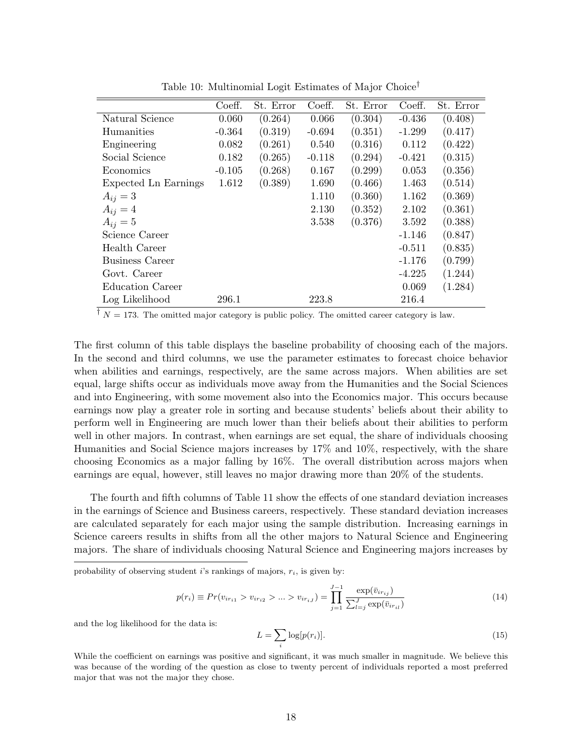|                        | Coeff.   | St. Error | Coeff.   | St. Error | Coeff.   | St. Error |
|------------------------|----------|-----------|----------|-----------|----------|-----------|
| Natural Science        | 0.060    | (0.264)   | 0.066    | (0.304)   | $-0.436$ | (0.408)   |
| Humanities             | $-0.364$ | (0.319)   | $-0.694$ | (0.351)   | $-1.299$ | (0.417)   |
| Engineering            | 0.082    | (0.261)   | 0.540    | (0.316)   | 0.112    | (0.422)   |
| Social Science         | 0.182    | (0.265)   | $-0.118$ | (0.294)   | $-0.421$ | (0.315)   |
| Economics              | $-0.105$ | (0.268)   | 0.167    | (0.299)   | 0.053    | (0.356)   |
| Expected Ln Earnings   | 1.612    | (0.389)   | 1.690    | (0.466)   | 1.463    | (0.514)   |
| $A_{ij}=3$             |          |           | 1.110    | (0.360)   | 1.162    | (0.369)   |
| $A_{ij}=4$             |          |           | 2.130    | (0.352)   | 2.102    | (0.361)   |
| $A_{ij}=5$             |          |           | 3.538    | (0.376)   | 3.592    | (0.388)   |
| Science Career         |          |           |          |           | $-1.146$ | (0.847)   |
| Health Career          |          |           |          |           | $-0.511$ | (0.835)   |
| <b>Business Career</b> |          |           |          |           | $-1.176$ | (0.799)   |
| Govt. Career           |          |           |          |           | $-4.225$ | (1.244)   |
| Education Career       |          |           |          |           | 0.069    | (1.284)   |
| Log Likelihood         | 296.1    |           | 223.8    |           | 216.4    |           |

Table 10: Multinomial Logit Estimates of Major Choice†

 $\dagger N = 173$ . The omitted major category is public policy. The omitted career category is law.

The first column of this table displays the baseline probability of choosing each of the majors. In the second and third columns, we use the parameter estimates to forecast choice behavior when abilities and earnings, respectively, are the same across majors. When abilities are set equal, large shifts occur as individuals move away from the Humanities and the Social Sciences and into Engineering, with some movement also into the Economics major. This occurs because earnings now play a greater role in sorting and because students' beliefs about their ability to perform well in Engineering are much lower than their beliefs about their abilities to perform well in other majors. In contrast, when earnings are set equal, the share of individuals choosing Humanities and Social Science majors increases by 17% and 10%, respectively, with the share choosing Economics as a major falling by 16%. The overall distribution across majors when earnings are equal, however, still leaves no major drawing more than 20% of the students.

The fourth and fifth columns of Table 11 show the effects of one standard deviation increases in the earnings of Science and Business careers, respectively. These standard deviation increases are calculated separately for each major using the sample distribution. Increasing earnings in Science careers results in shifts from all the other majors to Natural Science and Engineering majors. The share of individuals choosing Natural Science and Engineering majors increases by

probability of observing student  $i$ 's rankings of majors,  $r_i$ , is given by:

$$
p(r_i) \equiv Pr(v_{ir_{i1}} > v_{ir_{i2}} > ... > v_{ir_{iJ}}) = \prod_{j=1}^{J-1} \frac{\exp(\bar{v}_{ir_{ij}})}{\sum_{l=j}^{J} \exp(\bar{v}_{ir_{il}})}
$$
(14)

and the log likelihood for the data is:

$$
L = \sum_{i} \log[p(r_i)].
$$
\n(15)

While the coefficient on earnings was positive and significant, it was much smaller in magnitude. We believe this was because of the wording of the question as close to twenty percent of individuals reported a most preferred major that was not the major they chose.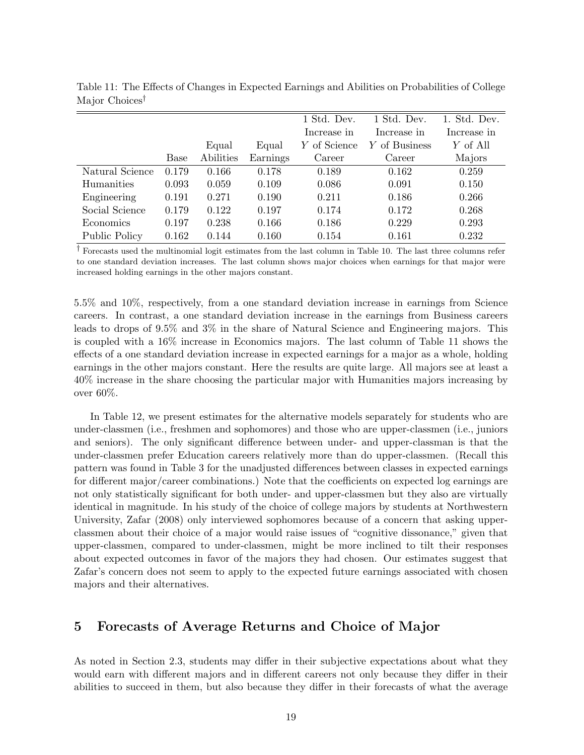|                 |       |           |          | 1 Std. Dev.  | 1 Std. Dev.   | 1. Std. Dev. |
|-----------------|-------|-----------|----------|--------------|---------------|--------------|
|                 |       |           |          | Increase in  | Increase in   | Increase in  |
|                 |       | Equal     | Equal    | Y of Science | Y of Business | Y of All     |
|                 | Base  | Abilities | Earnings | Career       | Career        | Majors       |
| Natural Science | 0.179 | 0.166     | 0.178    | 0.189        | 0.162         | 0.259        |
| Humanities      | 0.093 | 0.059     | 0.109    | 0.086        | 0.091         | 0.150        |
| Engineering     | 0.191 | 0.271     | 0.190    | 0.211        | 0.186         | 0.266        |
| Social Science  | 0.179 | 0.122     | 0.197    | 0.174        | 0.172         | 0.268        |
| Economics       | 0.197 | 0.238     | 0.166    | 0.186        | 0.229         | 0.293        |
| Public Policy   | 0.162 | 0.144     | 0.160    | 0.154        | 0.161         | 0.232        |

Table 11: The Effects of Changes in Expected Earnings and Abilities on Probabilities of College Major Choices†

† Forecasts used the multinomial logit estimates from the last column in Table 10. The last three columns refer to one standard deviation increases. The last column shows major choices when earnings for that major were increased holding earnings in the other majors constant.

5.5% and 10%, respectively, from a one standard deviation increase in earnings from Science careers. In contrast, a one standard deviation increase in the earnings from Business careers leads to drops of 9.5% and 3% in the share of Natural Science and Engineering majors. This is coupled with a 16% increase in Economics majors. The last column of Table 11 shows the effects of a one standard deviation increase in expected earnings for a major as a whole, holding earnings in the other majors constant. Here the results are quite large. All majors see at least a 40% increase in the share choosing the particular major with Humanities majors increasing by over 60%.

In Table 12, we present estimates for the alternative models separately for students who are under-classmen (i.e., freshmen and sophomores) and those who are upper-classmen (i.e., juniors and seniors). The only significant difference between under- and upper-classman is that the under-classmen prefer Education careers relatively more than do upper-classmen. (Recall this pattern was found in Table 3 for the unadjusted differences between classes in expected earnings for different major/career combinations.) Note that the coefficients on expected log earnings are not only statistically significant for both under- and upper-classmen but they also are virtually identical in magnitude. In his study of the choice of college majors by students at Northwestern University, Zafar (2008) only interviewed sophomores because of a concern that asking upperclassmen about their choice of a major would raise issues of "cognitive dissonance," given that upper-classmen, compared to under-classmen, might be more inclined to tilt their responses about expected outcomes in favor of the majors they had chosen. Our estimates suggest that Zafar's concern does not seem to apply to the expected future earnings associated with chosen majors and their alternatives.

## 5 Forecasts of Average Returns and Choice of Major

As noted in Section 2.3, students may differ in their subjective expectations about what they would earn with different majors and in different careers not only because they differ in their abilities to succeed in them, but also because they differ in their forecasts of what the average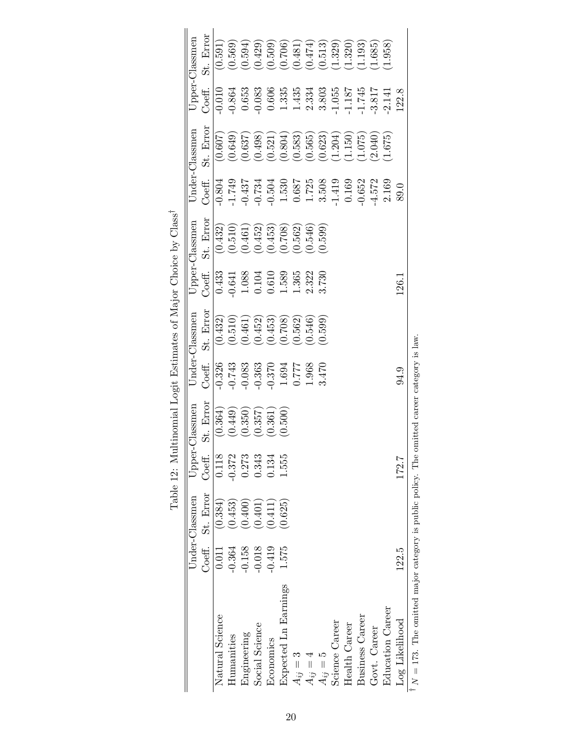|                                                                             | Upper-Classmen | St. Error        | (0.591)         | (0.569)    | (9.594)     | (0.429)        | (0.509)   | (0.706)              | (0.481)    | (674, 0)     | (0.513)                     | (1.329)  | (1.320)       | (1.193)         | (1.685)      | 1.958)           |                |                                                              |
|-----------------------------------------------------------------------------|----------------|------------------|-----------------|------------|-------------|----------------|-----------|----------------------|------------|--------------|-----------------------------|----------|---------------|-----------------|--------------|------------------|----------------|--------------------------------------------------------------|
|                                                                             |                | Coeff.           | 0.010           | 0.864      | 0.653       | $-0.083$       | 0.606     | 1.335                | 1.435      | 2.334        | 3.803                       | $-1.055$ | 1.187         | 1.745           | 3.817        | 2.141            | 122.8          |                                                              |
|                                                                             | Under-Classmen | St. Error        | (0.607)         | (0.649)    | (0.637)     | (0.498)        | (0.521)   | (0.804)              | (0.583)    | (0.565)      | (0.623)                     | (1.204)  | (1.150)       | (1.075)         | 2.040)       | (1.675)          |                |                                                              |
|                                                                             |                | Coeff.           | $-0.804$        | $-1.749$   | $-0.437$    | $-0.734$       | $-0.504$  | $1.530\,$            | $0.687$    | 1.725        | 3.508                       | $-1.419$ | 0.169         | 0.652           | 4.572        | 2.169            | 89.0           |                                                              |
| Table 12: Multinomial Logit Estimates of Major Choice by Class <sup>†</sup> | Upper-Classmen | St. Error        | (0.432)         | (0.510)    | (0.461)     | (0.452)        | (0.453)   | (0.708)              | (0.562)    | (0.546)      | (0.599)                     |          |               |                 |              |                  |                |                                                              |
|                                                                             |                | Coeff.           | 0.433           | 0.641      | 1.088       | 0.104          | 0.610     | 1.589                | 1.365      | 2.322        | 3.730                       |          |               |                 |              |                  | 126.1          |                                                              |
|                                                                             | Under-Classmen | St. Error        | (0.432)         | (0.510)    | (0.461)     | (0.452)        | (0.453)   | (0.708)              | (0.562)    | (0.546)      | (0.599)                     |          |               |                 |              |                  |                |                                                              |
|                                                                             |                | Coeff.           | $-0.326$        | 0.743      | 0.083       | 0.363          | $-0.370$  | 1.694                | 7777       | 1.968        | 3.470                       |          |               |                 |              |                  | 94.9           |                                                              |
|                                                                             | Upper-Classmen | St. Error        | (0.364)         | (0.449)    | (0.350)     | (0.357)        | (0.361)   | (0.500)              |            |              |                             |          |               |                 |              |                  |                | omitted career category is law                               |
|                                                                             |                | Coeff.           | 0.118           | $-0.372$   | 0.273       | 0.343          | 0.134     | 1.555                |            |              |                             |          |               |                 |              |                  | 172.7          |                                                              |
|                                                                             | Under-Classmen | Coeff. St. Error | (0.384)         | (0.453)    | (0.400)     | (0.401)        | (0.411)   | (0.625)              |            |              |                             |          |               |                 |              |                  |                |                                                              |
|                                                                             |                |                  | 0.011           | $-0.364$   | $-0.158$    | $-0.018$       | $-0.419$  | 1.575                |            |              |                             |          |               |                 |              |                  | 122.5          |                                                              |
|                                                                             |                |                  | Natural Science | Humanities | Engineering | Social Science | Economics | Expected Ln Earnings | $A_{ij}=3$ | $A_{ij} = 4$ | $A_{ij} = 5$ Science Career |          | Health Career | Business Career | Govt. Career | Education Career | Log Likelihood | $N = 173$ . The omitted major category is public policy. The |

20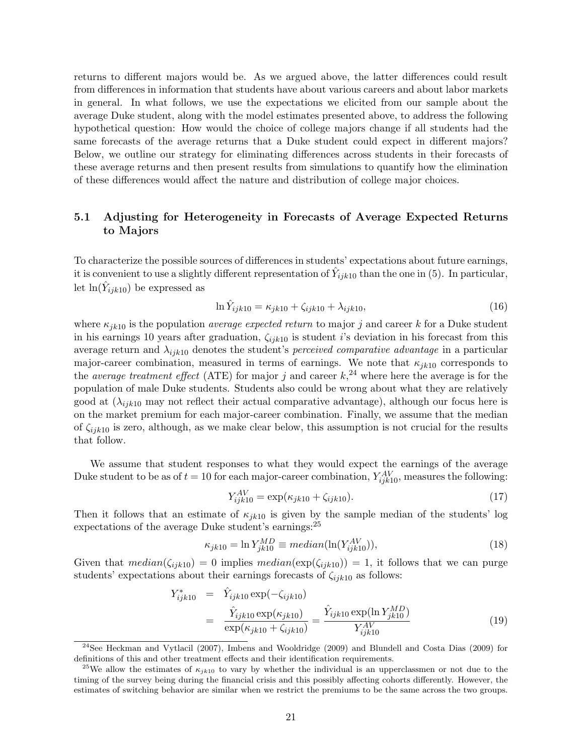returns to different majors would be. As we argued above, the latter differences could result from differences in information that students have about various careers and about labor markets in general. In what follows, we use the expectations we elicited from our sample about the average Duke student, along with the model estimates presented above, to address the following hypothetical question: How would the choice of college majors change if all students had the same forecasts of the average returns that a Duke student could expect in different majors? Below, we outline our strategy for eliminating differences across students in their forecasts of these average returns and then present results from simulations to quantify how the elimination of these differences would affect the nature and distribution of college major choices.

### 5.1 Adjusting for Heterogeneity in Forecasts of Average Expected Returns to Majors

To characterize the possible sources of differences in students' expectations about future earnings, it is convenient to use a slightly different representation of  $\hat{Y}_{ijk10}$  than the one in (5). In particular, let  $\ln(\hat{Y}_{ijk10})$  be expressed as

$$
\ln \hat{Y}_{ijk10} = \kappa_{jk10} + \zeta_{ijk10} + \lambda_{ijk10},\tag{16}
$$

where  $\kappa_{ik10}$  is the population *average expected return* to major j and career k for a Duke student in his earnings 10 years after graduation,  $\zeta_{ijk10}$  is student i's deviation in his forecast from this average return and  $\lambda_{ijk10}$  denotes the student's *perceived comparative advantage* in a particular major-career combination, measured in terms of earnings. We note that  $\kappa_{ik10}$  corresponds to the *average treatment effect* (ATE) for major j and career  $k<sup>24</sup>$  where here the average is for the population of male Duke students. Students also could be wrong about what they are relatively good at  $(\lambda_{ijk10}$  may not reflect their actual comparative advantage), although our focus here is on the market premium for each major-career combination. Finally, we assume that the median of  $\zeta_{iik10}$  is zero, although, as we make clear below, this assumption is not crucial for the results that follow.

We assume that student responses to what they would expect the earnings of the average Duke student to be as of  $t = 10$  for each major-career combination,  $Y_{ijk10}^{AV}$ , measures the following:

$$
Y_{ijk10}^{AV} = \exp(\kappa_{jk10} + \zeta_{ijk10}).
$$
\n(17)

Then it follows that an estimate of  $\kappa_{ik10}$  is given by the sample median of the students' log expectations of the average Duke student's earnings:<sup>25</sup>

$$
\kappa_{jk10} = \ln Y_{jk10}^{MD} \equiv median(\ln(Y_{ijk10}^{AV})), \tag{18}
$$

Given that  $median(\zeta_{ijk10}) = 0$  implies  $median(\exp(\zeta_{ijk10})) = 1$ , it follows that we can purge students' expectations about their earnings forecasts of  $\zeta_{ijk10}$  as follows:

$$
Y_{ijkl0}^* = \hat{Y}_{ijkl0} \exp(-\zeta_{ijk10})
$$
  
= 
$$
\frac{\hat{Y}_{ijkl0} \exp(\kappa_{jkl0})}{\exp(\kappa_{jk10} + \zeta_{ijk10})} = \frac{\hat{Y}_{ijkl0} \exp(\ln Y_{jkl0}^{MD})}{Y_{ijkl0}^{AV}}
$$
(19)

 $24$ See Heckman and Vytlacil (2007), Imbens and Wooldridge (2009) and Blundell and Costa Dias (2009) for definitions of this and other treatment effects and their identification requirements.

<sup>&</sup>lt;sup>25</sup>We allow the estimates of  $\kappa_{jkl0}$  to vary by whether the individual is an upperclassmen or not due to the timing of the survey being during the financial crisis and this possibly affecting cohorts differently. However, the estimates of switching behavior are similar when we restrict the premiums to be the same across the two groups.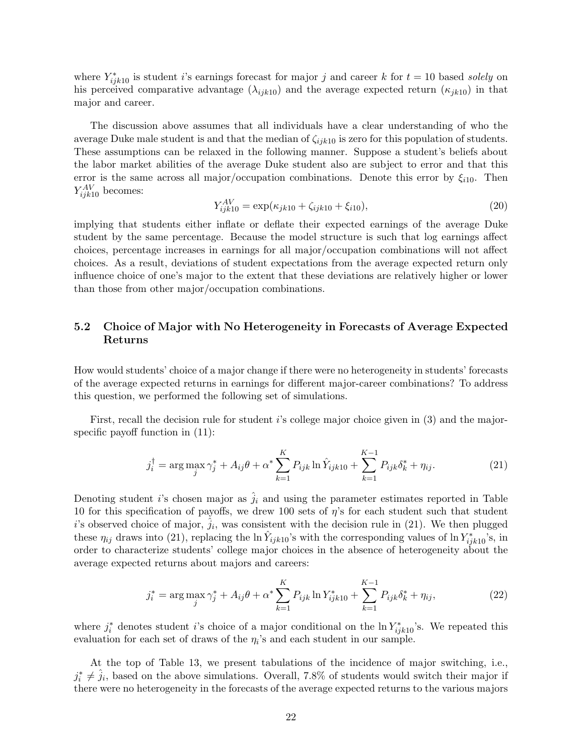where  $Y_{ijk10}^*$  is student i's earnings forecast for major j and career k for  $t = 10$  based solely on his perceived comparative advantage  $(\lambda_{ijk10})$  and the average expected return  $(\kappa_{jk10})$  in that major and career.

The discussion above assumes that all individuals have a clear understanding of who the average Duke male student is and that the median of  $\zeta_{ijk10}$  is zero for this population of students. These assumptions can be relaxed in the following manner. Suppose a student's beliefs about the labor market abilities of the average Duke student also are subject to error and that this error is the same across all major/occupation combinations. Denote this error by  $\xi_{i10}$ . Then  $Y_{ijkl0}^{AV}$  becomes:

$$
Y_{ijk10}^{AV} = \exp(\kappa_{jk10} + \zeta_{ijk10} + \xi_{i10}),\tag{20}
$$

implying that students either inflate or deflate their expected earnings of the average Duke student by the same percentage. Because the model structure is such that log earnings affect choices, percentage increases in earnings for all major/occupation combinations will not affect choices. As a result, deviations of student expectations from the average expected return only influence choice of one's major to the extent that these deviations are relatively higher or lower than those from other major/occupation combinations.

## 5.2 Choice of Major with No Heterogeneity in Forecasts of Average Expected Returns

How would students' choice of a major change if there were no heterogeneity in students' forecasts of the average expected returns in earnings for different major-career combinations? To address this question, we performed the following set of simulations.

First, recall the decision rule for student i's college major choice given in  $(3)$  and the majorspecific payoff function in (11):

$$
j_i^{\dagger} = \arg \max_j \gamma_j^* + A_{ij}\theta + \alpha^* \sum_{k=1}^K P_{ijk} \ln \hat{Y}_{ijk10} + \sum_{k=1}^{K-1} P_{ijk}\delta_k^* + \eta_{ij}.
$$
 (21)

Denoting student i's chosen major as  $\hat{j}_i$  and using the parameter estimates reported in Table 10 for this specification of payoffs, we drew 100 sets of  $\eta$ 's for each student such that student i's observed choice of major,  $\hat{j}_i$ , was consistent with the decision rule in (21). We then plugged these  $\eta_{ij}$  draws into (21), replacing the ln  $\hat{Y}_{ijk10}$ 's with the corresponding values of ln  $Y_{ijk10}^*$ 's, in order to characterize students' college major choices in the absence of heterogeneity about the average expected returns about majors and careers:

$$
j_i^* = \arg \max_j \gamma_j^* + A_{ij}\theta + \alpha^* \sum_{k=1}^K P_{ijk} \ln Y_{ijk10}^* + \sum_{k=1}^{K-1} P_{ijk}\delta_k^* + \eta_{ij},
$$
\n(22)

where  $j_i^*$  denotes student i's choice of a major conditional on the  $\ln Y^*_{ijk10}$ 's. We repeated this evaluation for each set of draws of the  $\eta_i$ 's and each student in our sample.

At the top of Table 13, we present tabulations of the incidence of major switching, i.e.,  $j_i^* \neq \hat{j}_i$ , based on the above simulations. Overall, 7.8% of students would switch their major if there were no heterogeneity in the forecasts of the average expected returns to the various majors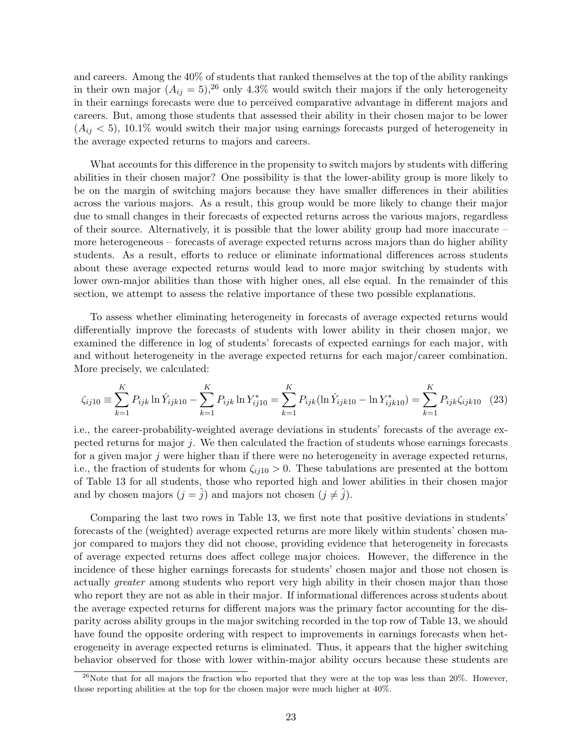and careers. Among the 40% of students that ranked themselves at the top of the ability rankings in their own major  $(A_{ij} = 5)$ ,<sup>26</sup> only 4.3% would switch their majors if the only heterogeneity in their earnings forecasts were due to perceived comparative advantage in different majors and careers. But, among those students that assessed their ability in their chosen major to be lower  $(A_{ij} < 5)$ , 10.1% would switch their major using earnings forecasts purged of heterogeneity in the average expected returns to majors and careers.

What accounts for this difference in the propensity to switch majors by students with differing abilities in their chosen major? One possibility is that the lower-ability group is more likely to be on the margin of switching majors because they have smaller differences in their abilities across the various majors. As a result, this group would be more likely to change their major due to small changes in their forecasts of expected returns across the various majors, regardless of their source. Alternatively, it is possible that the lower ability group had more inaccurate – more heterogeneous – forecasts of average expected returns across majors than do higher ability students. As a result, efforts to reduce or eliminate informational differences across students about these average expected returns would lead to more major switching by students with lower own-major abilities than those with higher ones, all else equal. In the remainder of this section, we attempt to assess the relative importance of these two possible explanations.

To assess whether eliminating heterogeneity in forecasts of average expected returns would differentially improve the forecasts of students with lower ability in their chosen major, we examined the difference in log of students' forecasts of expected earnings for each major, with and without heterogeneity in the average expected returns for each major/career combination. More precisely, we calculated:

$$
\zeta_{ij10} \equiv \sum_{k=1}^{K} P_{ijk} \ln \hat{Y}_{ijk10} - \sum_{k=1}^{K} P_{ijk} \ln Y_{ij10}^* = \sum_{k=1}^{K} P_{ijk} (\ln \hat{Y}_{ijk10} - \ln Y_{ijk10}^*) = \sum_{k=1}^{K} P_{ijk} \zeta_{ijk10} \quad (23)
$$

i.e., the career-probability-weighted average deviations in students' forecasts of the average expected returns for major j. We then calculated the fraction of students whose earnings forecasts for a given major j were higher than if there were no heterogeneity in average expected returns, i.e., the fraction of students for whom  $\zeta_{i10} > 0$ . These tabulations are presented at the bottom of Table 13 for all students, those who reported high and lower abilities in their chosen major and by chosen majors  $(j = \hat{j})$  and majors not chosen  $(j \neq \hat{j})$ .

Comparing the last two rows in Table 13, we first note that positive deviations in students' forecasts of the (weighted) average expected returns are more likely within students' chosen major compared to majors they did not choose, providing evidence that heterogeneity in forecasts of average expected returns does affect college major choices. However, the difference in the incidence of these higher earnings forecasts for students' chosen major and those not chosen is actually *greater* among students who report very high ability in their chosen major than those who report they are not as able in their major. If informational differences across students about the average expected returns for different majors was the primary factor accounting for the disparity across ability groups in the major switching recorded in the top row of Table 13, we should have found the opposite ordering with respect to improvements in earnings forecasts when heterogeneity in average expected returns is eliminated. Thus, it appears that the higher switching behavior observed for those with lower within-major ability occurs because these students are

 $^{26}$ Note that for all majors the fraction who reported that they were at the top was less than 20%. However, those reporting abilities at the top for the chosen major were much higher at 40%.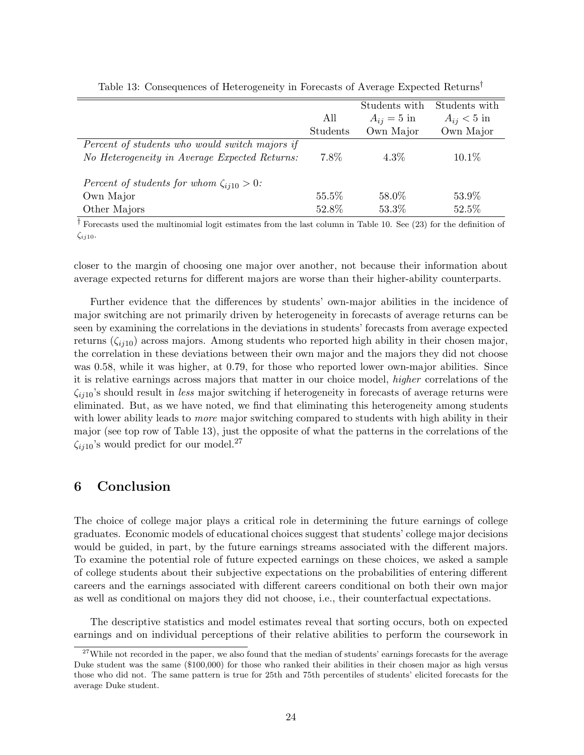|                                                   |          | Students with   | Students with   |
|---------------------------------------------------|----------|-----------------|-----------------|
|                                                   | All      | $A_{ij} = 5$ in | $A_{ij}$ < 5 in |
|                                                   | Students | Own Major       | Own Major       |
| Percent of students who would switch majors if    |          |                 |                 |
| No Heterogeneity in Average Expected Returns:     | $7.8\%$  | $4.3\%$         | $10.1\%$        |
|                                                   |          |                 |                 |
| Percent of students for whom $\zeta_{ii10} > 0$ : |          |                 |                 |
| Own Major                                         | 55.5%    | 58.0%           | 53.9%           |
| Other Majors                                      | 52.8%    | 53.3%           | 52.5%           |

Table 13: Consequences of Heterogeneity in Forecasts of Average Expected Returns†

† Forecasts used the multinomial logit estimates from the last column in Table 10. See (23) for the definition of  $\zeta_{ij10}$ .

closer to the margin of choosing one major over another, not because their information about average expected returns for different majors are worse than their higher-ability counterparts.

Further evidence that the differences by students' own-major abilities in the incidence of major switching are not primarily driven by heterogeneity in forecasts of average returns can be seen by examining the correlations in the deviations in students' forecasts from average expected returns  $(\zeta_{ij10})$  across majors. Among students who reported high ability in their chosen major, the correlation in these deviations between their own major and the majors they did not choose was 0.58, while it was higher, at 0.79, for those who reported lower own-major abilities. Since it is relative earnings across majors that matter in our choice model, higher correlations of the  $\zeta_{i10}$ 's should result in less major switching if heterogeneity in forecasts of average returns were eliminated. But, as we have noted, we find that eliminating this heterogeneity among students with lower ability leads to *more* major switching compared to students with high ability in their major (see top row of Table 13), just the opposite of what the patterns in the correlations of the  $\zeta_{ij10}$ 's would predict for our model.<sup>27</sup>

## 6 Conclusion

The choice of college major plays a critical role in determining the future earnings of college graduates. Economic models of educational choices suggest that students' college major decisions would be guided, in part, by the future earnings streams associated with the different majors. To examine the potential role of future expected earnings on these choices, we asked a sample of college students about their subjective expectations on the probabilities of entering different careers and the earnings associated with different careers conditional on both their own major as well as conditional on majors they did not choose, i.e., their counterfactual expectations.

The descriptive statistics and model estimates reveal that sorting occurs, both on expected earnings and on individual perceptions of their relative abilities to perform the coursework in

 $27$ While not recorded in the paper, we also found that the median of students' earnings forecasts for the average Duke student was the same (\$100,000) for those who ranked their abilities in their chosen major as high versus those who did not. The same pattern is true for 25th and 75th percentiles of students' elicited forecasts for the average Duke student.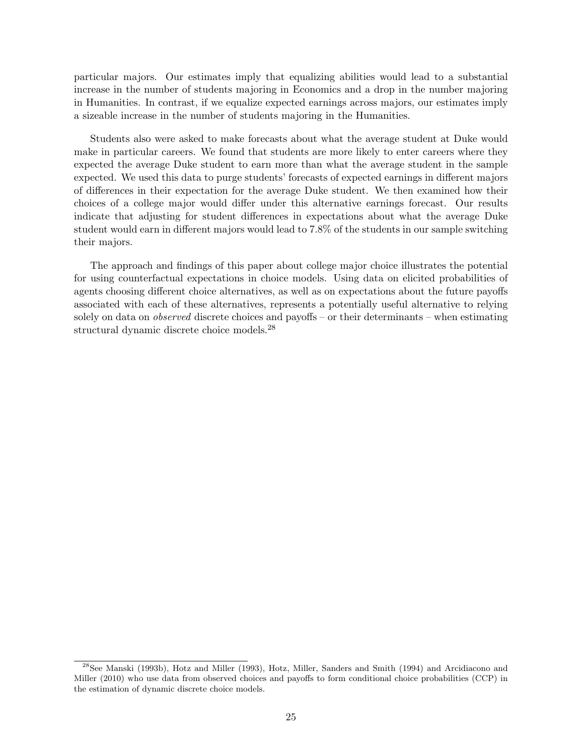particular majors. Our estimates imply that equalizing abilities would lead to a substantial increase in the number of students majoring in Economics and a drop in the number majoring in Humanities. In contrast, if we equalize expected earnings across majors, our estimates imply a sizeable increase in the number of students majoring in the Humanities.

Students also were asked to make forecasts about what the average student at Duke would make in particular careers. We found that students are more likely to enter careers where they expected the average Duke student to earn more than what the average student in the sample expected. We used this data to purge students' forecasts of expected earnings in different majors of differences in their expectation for the average Duke student. We then examined how their choices of a college major would differ under this alternative earnings forecast. Our results indicate that adjusting for student differences in expectations about what the average Duke student would earn in different majors would lead to 7.8% of the students in our sample switching their majors.

The approach and findings of this paper about college major choice illustrates the potential for using counterfactual expectations in choice models. Using data on elicited probabilities of agents choosing different choice alternatives, as well as on expectations about the future payoffs associated with each of these alternatives, represents a potentially useful alternative to relying solely on data on *observed* discrete choices and payoffs – or their determinants – when estimating structural dynamic discrete choice models.<sup>28</sup>

<sup>28</sup>See Manski (1993b), Hotz and Miller (1993), Hotz, Miller, Sanders and Smith (1994) and Arcidiacono and Miller (2010) who use data from observed choices and payoffs to form conditional choice probabilities (CCP) in the estimation of dynamic discrete choice models.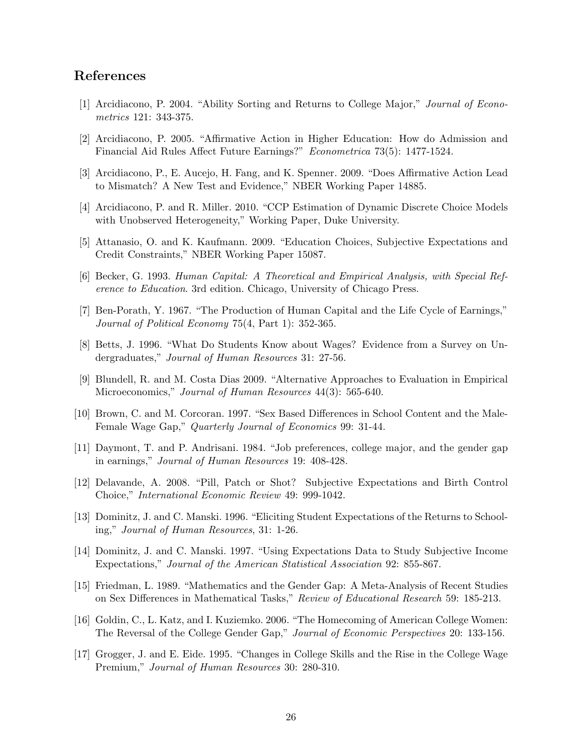## References

- [1] Arcidiacono, P. 2004. "Ability Sorting and Returns to College Major," Journal of Econometrics 121: 343-375.
- [2] Arcidiacono, P. 2005. "Affirmative Action in Higher Education: How do Admission and Financial Aid Rules Affect Future Earnings?" Econometrica 73(5): 1477-1524.
- [3] Arcidiacono, P., E. Aucejo, H. Fang, and K. Spenner. 2009. "Does Affirmative Action Lead to Mismatch? A New Test and Evidence," NBER Working Paper 14885.
- [4] Arcidiacono, P. and R. Miller. 2010. "CCP Estimation of Dynamic Discrete Choice Models with Unobserved Heterogeneity," Working Paper, Duke University.
- [5] Attanasio, O. and K. Kaufmann. 2009. "Education Choices, Subjective Expectations and Credit Constraints," NBER Working Paper 15087.
- [6] Becker, G. 1993. Human Capital: A Theoretical and Empirical Analysis, with Special Reference to Education. 3rd edition. Chicago, University of Chicago Press.
- [7] Ben-Porath, Y. 1967. "The Production of Human Capital and the Life Cycle of Earnings," Journal of Political Economy 75(4, Part 1): 352-365.
- [8] Betts, J. 1996. "What Do Students Know about Wages? Evidence from a Survey on Undergraduates," Journal of Human Resources 31: 27-56.
- [9] Blundell, R. and M. Costa Dias 2009. "Alternative Approaches to Evaluation in Empirical Microeconomics," Journal of Human Resources 44(3): 565-640.
- [10] Brown, C. and M. Corcoran. 1997. "Sex Based Differences in School Content and the Male-Female Wage Gap," Quarterly Journal of Economics 99: 31-44.
- [11] Daymont, T. and P. Andrisani. 1984. "Job preferences, college major, and the gender gap in earnings," Journal of Human Resources 19: 408-428.
- [12] Delavande, A. 2008. "Pill, Patch or Shot? Subjective Expectations and Birth Control Choice," International Economic Review 49: 999-1042.
- [13] Dominitz, J. and C. Manski. 1996. "Eliciting Student Expectations of the Returns to Schooling," Journal of Human Resources, 31: 1-26.
- [14] Dominitz, J. and C. Manski. 1997. "Using Expectations Data to Study Subjective Income Expectations," Journal of the American Statistical Association 92: 855-867.
- [15] Friedman, L. 1989. "Mathematics and the Gender Gap: A Meta-Analysis of Recent Studies on Sex Differences in Mathematical Tasks," Review of Educational Research 59: 185-213.
- [16] Goldin, C., L. Katz, and I. Kuziemko. 2006. "The Homecoming of American College Women: The Reversal of the College Gender Gap," Journal of Economic Perspectives 20: 133-156.
- [17] Grogger, J. and E. Eide. 1995. "Changes in College Skills and the Rise in the College Wage Premium," Journal of Human Resources 30: 280-310.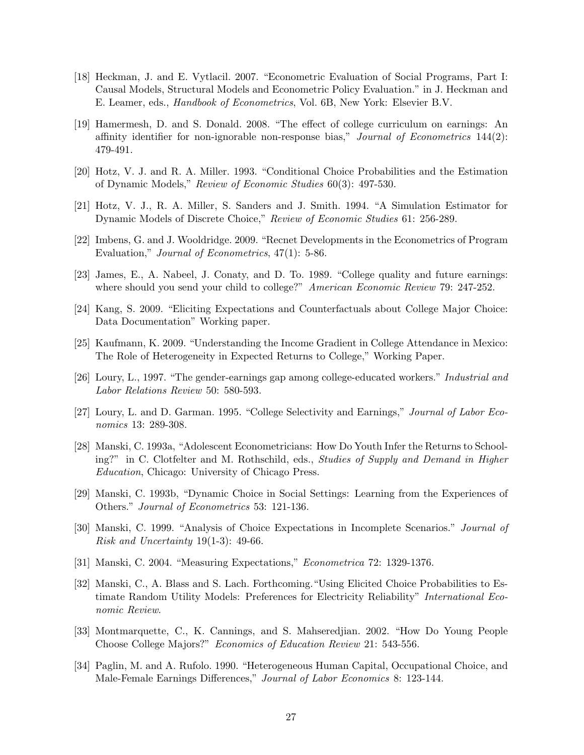- [18] Heckman, J. and E. Vytlacil. 2007. "Econometric Evaluation of Social Programs, Part I: Causal Models, Structural Models and Econometric Policy Evaluation." in J. Heckman and E. Leamer, eds., Handbook of Econometrics, Vol. 6B, New York: Elsevier B.V.
- [19] Hamermesh, D. and S. Donald. 2008. "The effect of college curriculum on earnings: An affinity identifier for non-ignorable non-response bias," Journal of Econometrics  $144(2)$ : 479-491.
- [20] Hotz, V. J. and R. A. Miller. 1993. "Conditional Choice Probabilities and the Estimation of Dynamic Models," Review of Economic Studies 60(3): 497-530.
- [21] Hotz, V. J., R. A. Miller, S. Sanders and J. Smith. 1994. "A Simulation Estimator for Dynamic Models of Discrete Choice," Review of Economic Studies 61: 256-289.
- [22] Imbens, G. and J. Wooldridge. 2009. "Recnet Developments in the Econometrics of Program Evaluation," *Journal of Econometrics*, 47(1): 5-86.
- [23] James, E., A. Nabeel, J. Conaty, and D. To. 1989. "College quality and future earnings: where should you send your child to college?" American Economic Review 79: 247-252.
- [24] Kang, S. 2009. "Eliciting Expectations and Counterfactuals about College Major Choice: Data Documentation" Working paper.
- [25] Kaufmann, K. 2009. "Understanding the Income Gradient in College Attendance in Mexico: The Role of Heterogeneity in Expected Returns to College," Working Paper.
- [26] Loury, L., 1997. "The gender-earnings gap among college-educated workers." Industrial and Labor Relations Review 50: 580-593.
- [27] Loury, L. and D. Garman. 1995. "College Selectivity and Earnings," Journal of Labor Economics 13: 289-308.
- [28] Manski, C. 1993a, "Adolescent Econometricians: How Do Youth Infer the Returns to Schooling?" in C. Clotfelter and M. Rothschild, eds., Studies of Supply and Demand in Higher Education, Chicago: University of Chicago Press.
- [29] Manski, C. 1993b, "Dynamic Choice in Social Settings: Learning from the Experiences of Others." Journal of Econometrics 53: 121-136.
- [30] Manski, C. 1999. "Analysis of Choice Expectations in Incomplete Scenarios." Journal of Risk and Uncertainty 19(1-3): 49-66.
- [31] Manski, C. 2004. "Measuring Expectations," Econometrica 72: 1329-1376.
- [32] Manski, C., A. Blass and S. Lach. Forthcoming."Using Elicited Choice Probabilities to Estimate Random Utility Models: Preferences for Electricity Reliability" International Economic Review.
- [33] Montmarquette, C., K. Cannings, and S. Mahseredjian. 2002. "How Do Young People Choose College Majors?" Economics of Education Review 21: 543-556.
- [34] Paglin, M. and A. Rufolo. 1990. "Heterogeneous Human Capital, Occupational Choice, and Male-Female Earnings Differences," Journal of Labor Economics 8: 123-144.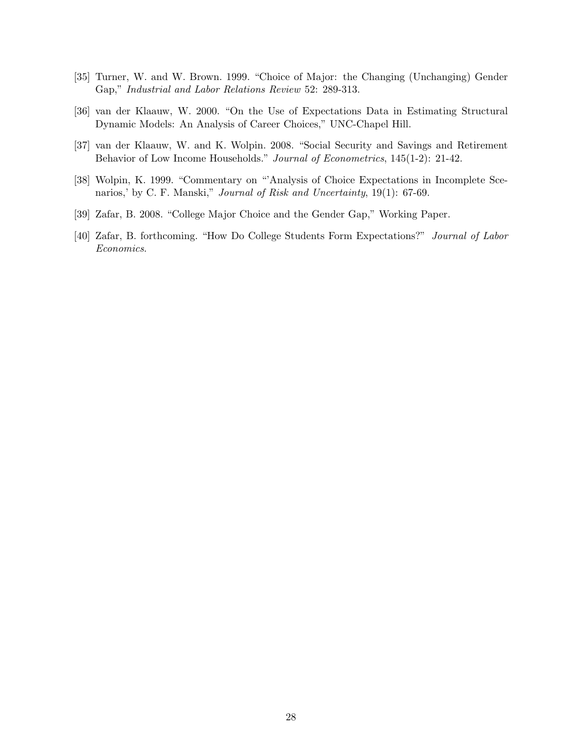- [35] Turner, W. and W. Brown. 1999. "Choice of Major: the Changing (Unchanging) Gender Gap," Industrial and Labor Relations Review 52: 289-313.
- [36] van der Klaauw, W. 2000. "On the Use of Expectations Data in Estimating Structural Dynamic Models: An Analysis of Career Choices," UNC-Chapel Hill.
- [37] van der Klaauw, W. and K. Wolpin. 2008. "Social Security and Savings and Retirement Behavior of Low Income Households." Journal of Econometrics, 145(1-2): 21-42.
- [38] Wolpin, K. 1999. "Commentary on "'Analysis of Choice Expectations in Incomplete Scenarios,' by C. F. Manski," Journal of Risk and Uncertainty, 19(1): 67-69.
- [39] Zafar, B. 2008. "College Major Choice and the Gender Gap," Working Paper.
- [40] Zafar, B. forthcoming. "How Do College Students Form Expectations?" Journal of Labor Economics.